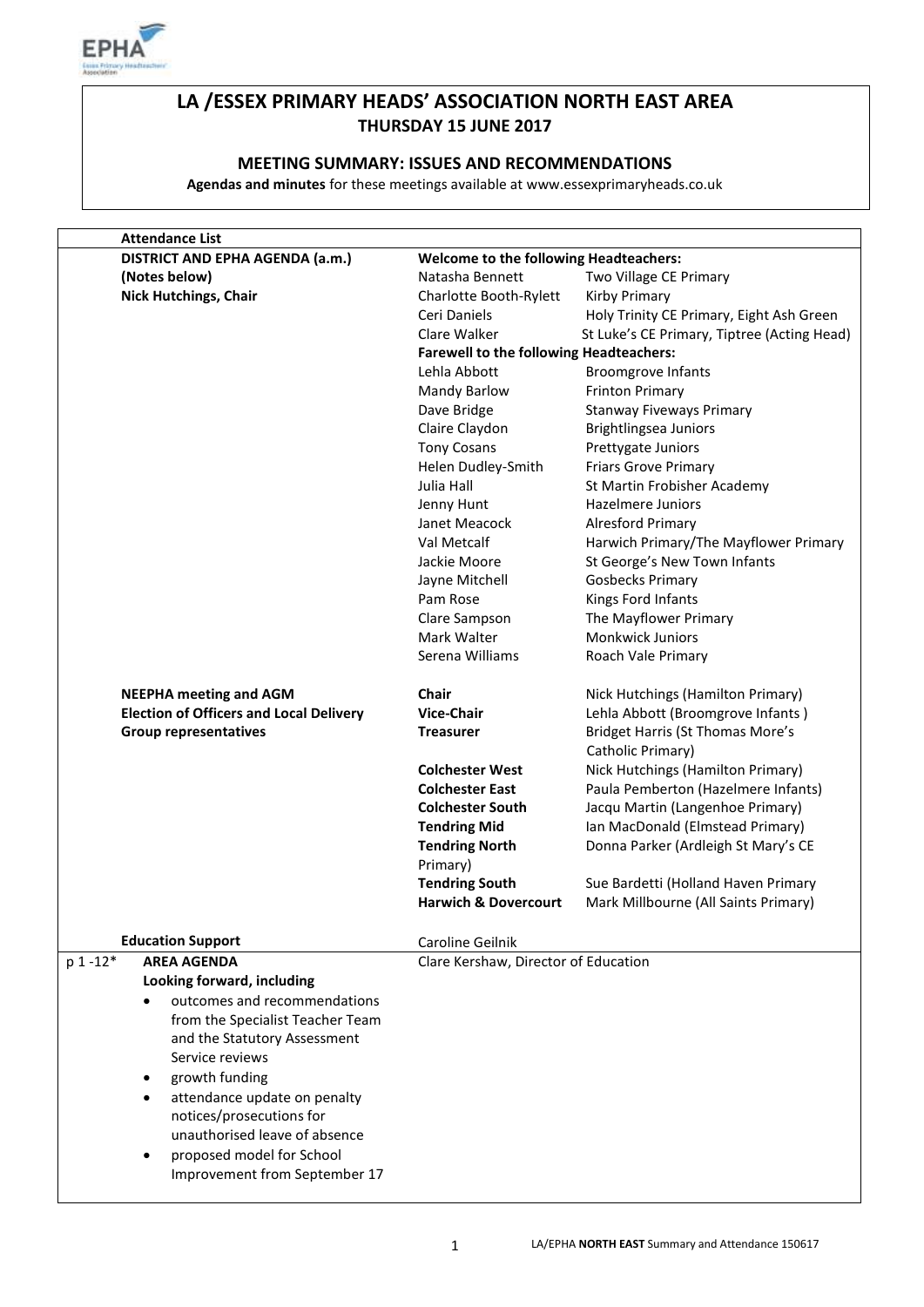

# **LA /ESSEX PRIMARY HEADS' ASSOCIATION NORTH EAST AREA THURSDAY 15 JUNE 2017**

# **MEETING SUMMARY: ISSUES AND RECOMMENDATIONS**

**Agendas and minutes** for these meetings available at www.essexprimaryheads.co.uk

| <b>Attendance List</b>                         |                                                |                                                              |
|------------------------------------------------|------------------------------------------------|--------------------------------------------------------------|
| DISTRICT AND EPHA AGENDA (a.m.)                | <b>Welcome to the following Headteachers:</b>  |                                                              |
| (Notes below)                                  | Natasha Bennett                                | Two Village CE Primary                                       |
| <b>Nick Hutchings, Chair</b>                   | Charlotte Booth-Rylett                         | Kirby Primary                                                |
|                                                | Ceri Daniels                                   | Holy Trinity CE Primary, Eight Ash Green                     |
|                                                | Clare Walker                                   | St Luke's CE Primary, Tiptree (Acting Head)                  |
|                                                | <b>Farewell to the following Headteachers:</b> |                                                              |
|                                                | Lehla Abbott                                   | <b>Broomgrove Infants</b>                                    |
|                                                | <b>Mandy Barlow</b>                            | <b>Frinton Primary</b>                                       |
|                                                | Dave Bridge                                    | <b>Stanway Fiveways Primary</b>                              |
|                                                | Claire Claydon                                 | Brightlingsea Juniors                                        |
|                                                | <b>Tony Cosans</b>                             | Prettygate Juniors                                           |
|                                                | Helen Dudley-Smith                             | <b>Friars Grove Primary</b>                                  |
|                                                | Julia Hall                                     | St Martin Frobisher Academy                                  |
|                                                | Jenny Hunt                                     | Hazelmere Juniors                                            |
|                                                | Janet Meacock                                  | Alresford Primary                                            |
|                                                | Val Metcalf                                    | Harwich Primary/The Mayflower Primary                        |
|                                                | Jackie Moore                                   | St George's New Town Infants                                 |
|                                                |                                                |                                                              |
|                                                | Jayne Mitchell                                 | <b>Gosbecks Primary</b>                                      |
|                                                | Pam Rose                                       | Kings Ford Infants                                           |
|                                                | Clare Sampson                                  | The Mayflower Primary                                        |
|                                                | Mark Walter                                    | <b>Monkwick Juniors</b>                                      |
|                                                | Serena Williams                                | Roach Vale Primary                                           |
| <b>NEEPHA meeting and AGM</b>                  | Chair                                          | Nick Hutchings (Hamilton Primary)                            |
| <b>Election of Officers and Local Delivery</b> | <b>Vice-Chair</b>                              | Lehla Abbott (Broomgrove Infants)                            |
| <b>Group representatives</b>                   | <b>Treasurer</b>                               | <b>Bridget Harris (St Thomas More's</b><br>Catholic Primary) |
|                                                | <b>Colchester West</b>                         | Nick Hutchings (Hamilton Primary)                            |
|                                                | <b>Colchester East</b>                         | Paula Pemberton (Hazelmere Infants)                          |
|                                                | <b>Colchester South</b>                        | Jacqu Martin (Langenhoe Primary)                             |
|                                                | <b>Tendring Mid</b>                            | Ian MacDonald (Elmstead Primary)                             |
|                                                | <b>Tendring North</b>                          | Donna Parker (Ardleigh St Mary's CE                          |
|                                                | Primary)                                       |                                                              |
|                                                | <b>Tendring South</b>                          | Sue Bardetti (Holland Haven Primary                          |
|                                                | <b>Harwich &amp; Dovercourt</b>                | Mark Millbourne (All Saints Primary)                         |
|                                                |                                                |                                                              |
| <b>Education Support</b>                       | Caroline Geilnik                               |                                                              |
| p 1-12*<br><b>AREA AGENDA</b>                  | Clare Kershaw, Director of Education           |                                                              |
| Looking forward, including                     |                                                |                                                              |
| outcomes and recommendations                   |                                                |                                                              |
| from the Specialist Teacher Team               |                                                |                                                              |
| and the Statutory Assessment                   |                                                |                                                              |
| Service reviews                                |                                                |                                                              |
| growth funding<br>٠                            |                                                |                                                              |
| attendance update on penalty<br>$\bullet$      |                                                |                                                              |
| notices/prosecutions for                       |                                                |                                                              |
| unauthorised leave of absence                  |                                                |                                                              |
| proposed model for School<br>$\bullet$         |                                                |                                                              |
| Improvement from September 17                  |                                                |                                                              |
|                                                |                                                |                                                              |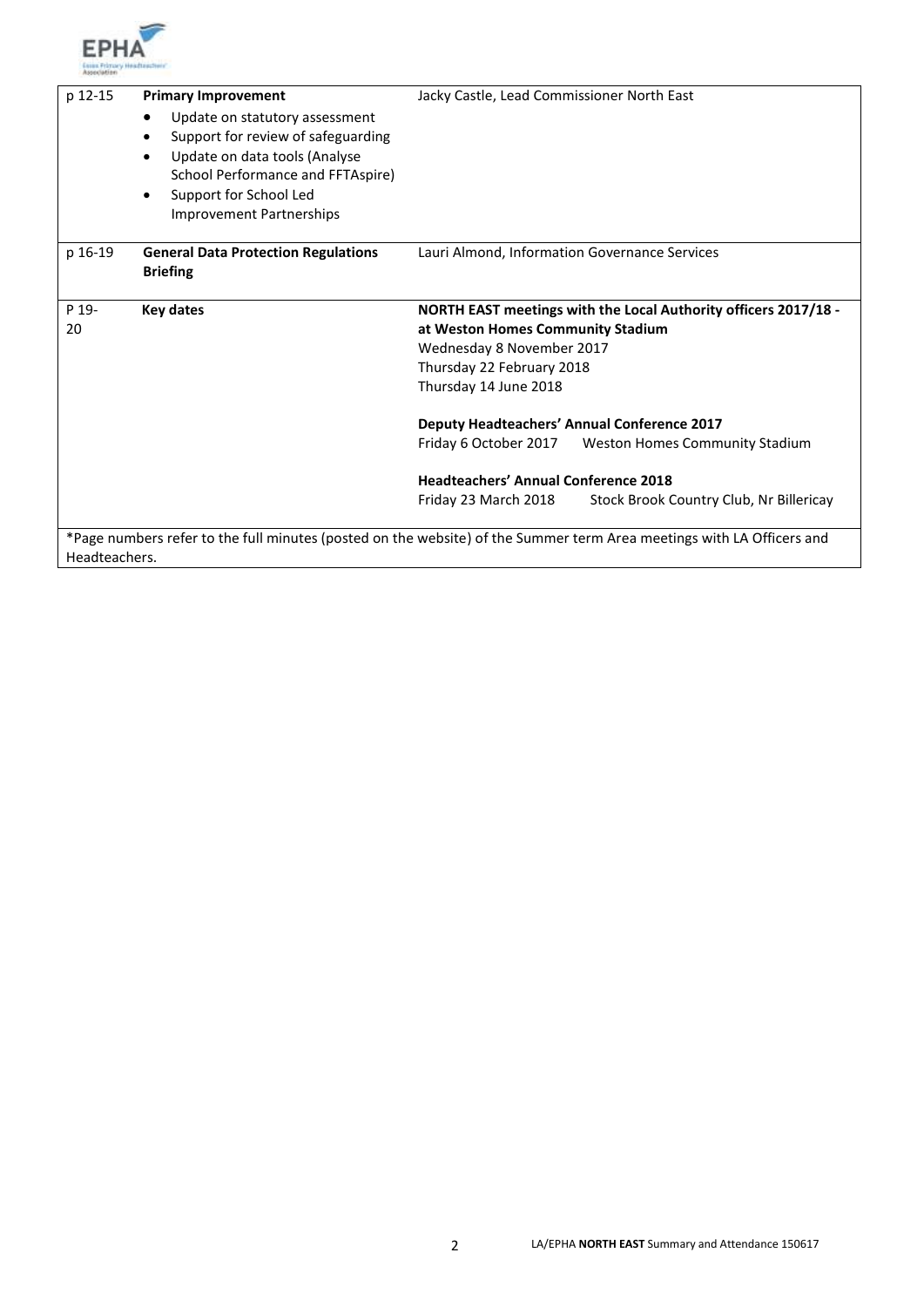

| p 12-15       | <b>Primary Improvement</b><br>Update on statutory assessment<br>$\bullet$<br>Support for review of safeguarding<br>$\bullet$<br>Update on data tools (Analyse<br>$\bullet$<br>School Performance and FFTAspire) | Jacky Castle, Lead Commissioner North East                                                                                                                                              |
|---------------|-----------------------------------------------------------------------------------------------------------------------------------------------------------------------------------------------------------------|-----------------------------------------------------------------------------------------------------------------------------------------------------------------------------------------|
|               | Support for School Led<br>$\bullet$<br>Improvement Partnerships                                                                                                                                                 |                                                                                                                                                                                         |
| p 16-19       | <b>General Data Protection Regulations</b><br><b>Briefing</b>                                                                                                                                                   | Lauri Almond, Information Governance Services                                                                                                                                           |
| P 19-<br>20   | <b>Key dates</b>                                                                                                                                                                                                | NORTH EAST meetings with the Local Authority officers 2017/18 -<br>at Weston Homes Community Stadium<br>Wednesday 8 November 2017<br>Thursday 22 February 2018<br>Thursday 14 June 2018 |
|               |                                                                                                                                                                                                                 | <b>Deputy Headteachers' Annual Conference 2017</b>                                                                                                                                      |
|               |                                                                                                                                                                                                                 | Friday 6 October 2017<br>Weston Homes Community Stadium                                                                                                                                 |
|               |                                                                                                                                                                                                                 | <b>Headteachers' Annual Conference 2018</b>                                                                                                                                             |
|               |                                                                                                                                                                                                                 | Stock Brook Country Club, Nr Billericay<br>Friday 23 March 2018                                                                                                                         |
| Headteachers. |                                                                                                                                                                                                                 | *Page numbers refer to the full minutes (posted on the website) of the Summer term Area meetings with LA Officers and                                                                   |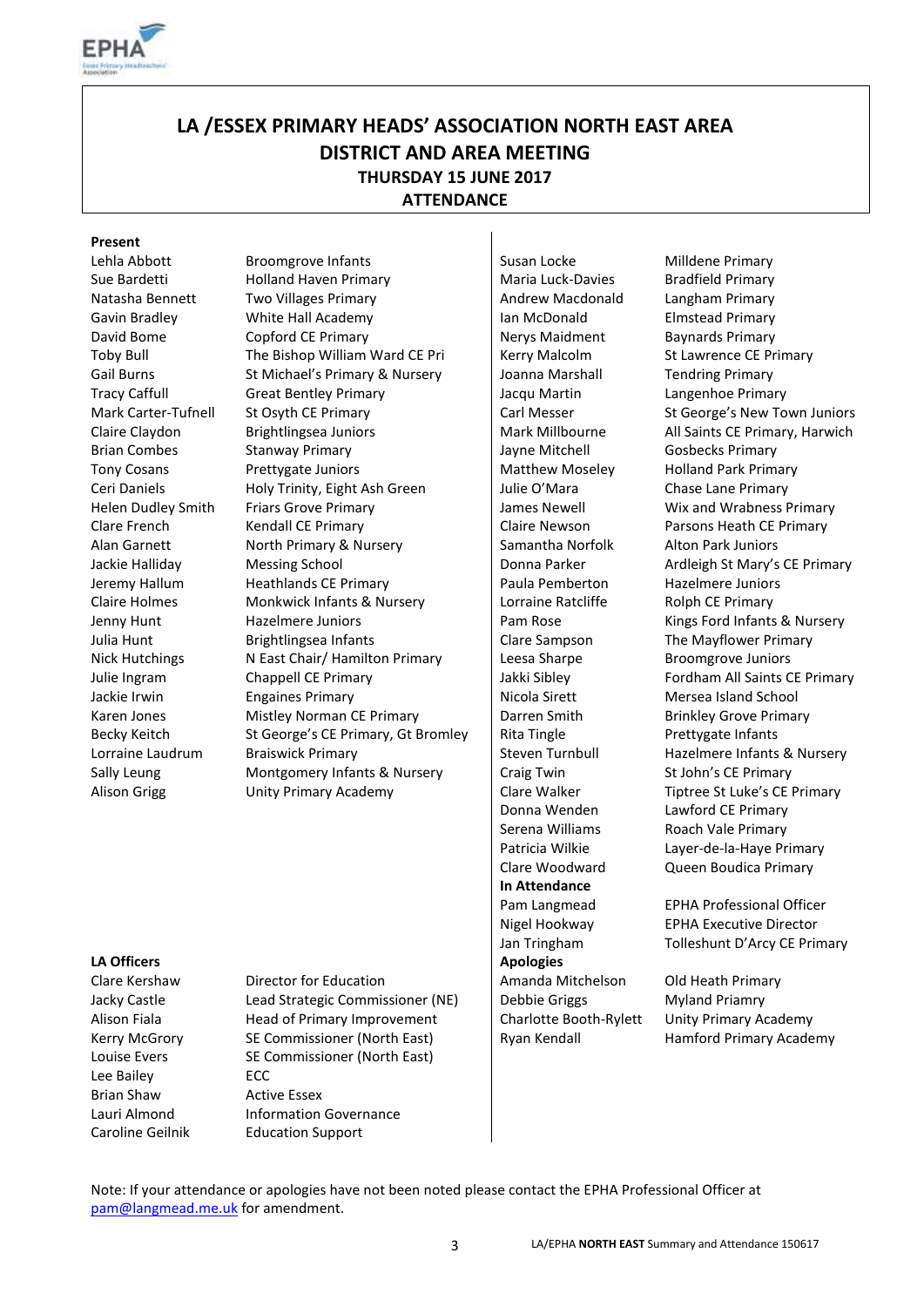

# **LA /ESSEX PRIMARY HEADS' ASSOCIATION NORTH EAST AREA DISTRICT AND AREA MEETING THURSDAY 15 JUNE 2017 ATTENDANCE**

#### **Present**

Lehla Abbott Broomgrove Infants Susan Locke Milldene Primary Sue Bardetti Holland Haven Primary Holland Haven Primary Maria Luck-Davies Bradfield Primary Natasha Bennett Two Villages Primary **Andrew Macdonald** Langham Primary Gavin Bradley **In Mulle White Hall Academy** Ian McDonald Elmstead Primary David Bome Copford CE Primary Nerys Maidment Baynards Primary Toby Bull The Bishop William Ward CE Pri Kerry Malcolm St Lawrence CE Primary Gail Burns St Michael's Primary & Nursery | Joanna Marshall Tendring Primary Tracy Caffull Great Bentley Primary Jacqu Martin Langenhoe Primary Mark Carter-Tufnell St Osyth CE Primary Carl Messer St George's New Town Juniors Claire Claydon Brightlingsea Juniors Mark Millbourne All Saints CE Primary, Harwich Brian Combes Stanway Primary Jayne Mitchell Gosbecks Primary Tony Cosans Prettygate Juniors Matthew Moseley Holland Park Primary Ceri Daniels **Holy Trinity, Eight Ash Green** Julie O'Mara Chase Lane Primary Helen Dudley Smith Friars Grove Primary **Frimary Accord Music Additional Accord Primary** James Newell Wix and Wrabness Primary Clare French Kendall CE Primary Claire Newson Parsons Heath CE Primary Alan Garnett **North Primary & Nursery** Samantha Norfolk Alton Park Juniors Jackie Halliday Messing School Newsames | Donna Parker Ardleigh St Mary's CE Primary Jeremy Hallum Heathlands CE Primary Paula Pemberton Hazelmere Juniors Claire Holmes Monkwick Infants & Nursery Lorraine Ratcliffe Rolph CE Primary Jenny Hunt **Hazelmere Juniors** Pam Rose Kings Ford Infants & Nursery Julia Hunt **Brightlingsea Infants** Clare Sampson The Mayflower Primary Nick Hutchings Nick National Network Nick Hutchings Nick Alexander Sharpe Broomgrove Juniors Julie Ingram Chappell CE Primary Jakki Sibley Fordham All Saints CE Primary Jackie Irwin **Engaines Primary Communist Communist Communist Communist Communist Communist Communist Communist Communist Communist Communist Communist Communist Communist Communist Communist Communist Communist Communist C** Karen Jones Mistley Norman CE Primary Darren Smith Brinkley Grove Primary Becky Keitch St George's CE Primary, Gt Bromley Rita Tingle Prettygate Infants Lorraine Laudrum Braiswick Primary Steven Turnbull Hazelmere Infants & Nursery Sally Leung Montgomery Infants & Nursery | Craig Twin St John's CE Primary

Donna Wenden Lawford CE Primary Serena Williams Roach Vale Primary **In Attendance** 

Alison Grigg **Example 20 Unity Primary Academy** Clare Walker **Tiptree St Luke's CE Primary** Patricia Wilkie Layer-de-la-Haye Primary Clare Woodward Queen Boudica Primary

**LA Officers Apologies Apologies Apologies Apologies** 

Lee Bailey **ECC** Brian Shaw Active Essex

Clare Kershaw Director for Education **Amanda Mitchelson** Old Heath Primary Jacky Castle **Lead Strategic Commissioner (NE)** Debbie Griggs Myland Priamry Alison Fiala **Head of Primary Improvement** Charlotte Booth-Rylett Unity Primary Academy Kerry McGrory SE Commissioner (North East) Ryan Kendall Hamford Primary Academy Louise Evers SE Commissioner (North East) Lauri Almond **Information Governance** Caroline Geilnik Education Support

Pam Langmead EPHA Professional Officer Nigel Hookway EPHA Executive Director Jan Tringham Tolleshunt D'Arcy CE Primary

Note: If your attendance or apologies have not been noted please contact the EPHA Professional Officer at [pam@langmead.me.uk](mailto:pam@langmead.me.uk) for amendment.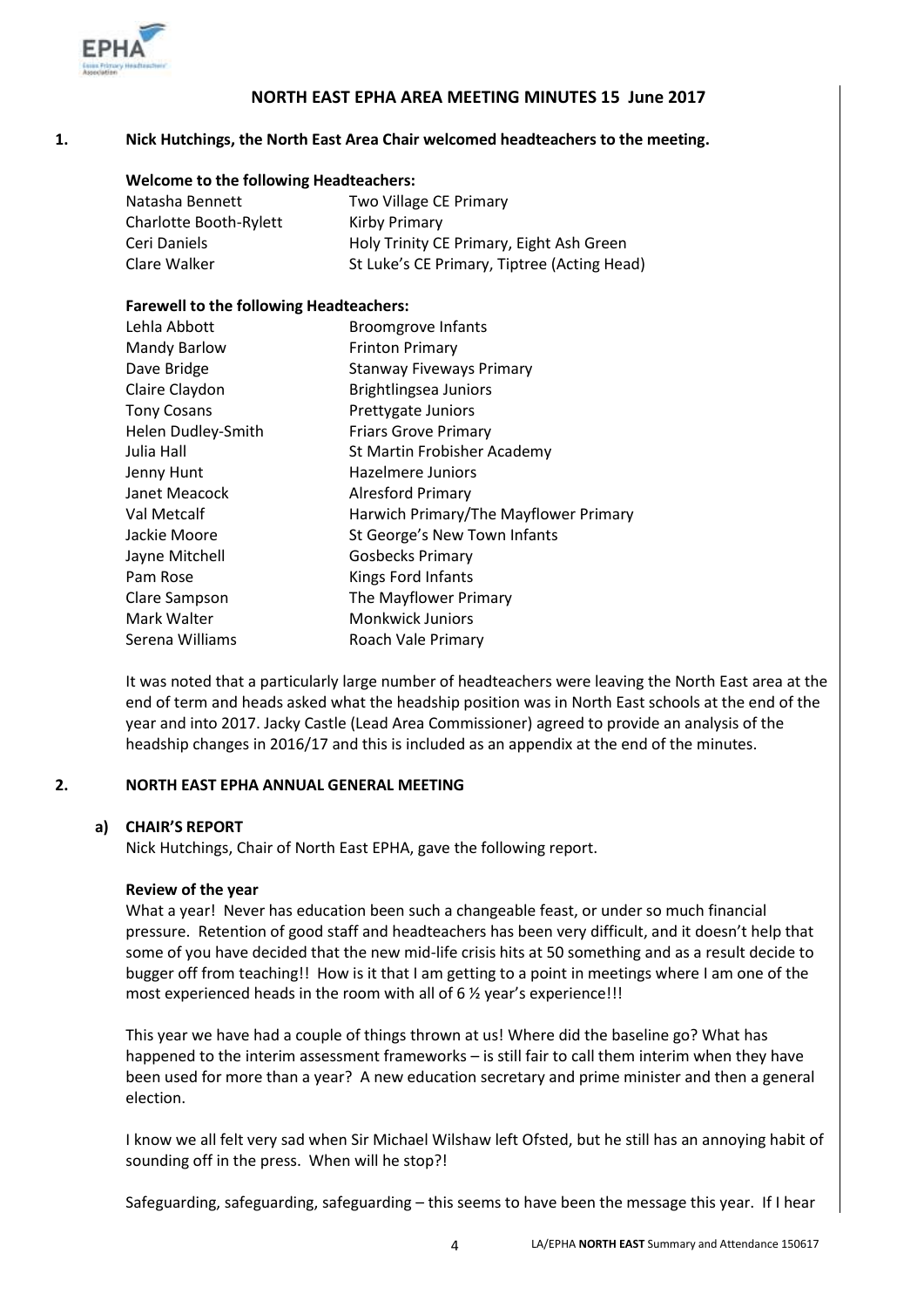

# **NORTH EAST EPHA AREA MEETING MINUTES 15 June 2017**

# **1. Nick Hutchings, the North East Area Chair welcomed headteachers to the meeting.**

| <b>Welcome to the following Headteachers:</b> |                                             |  |  |
|-----------------------------------------------|---------------------------------------------|--|--|
| Natasha Bennett                               | Two Village CE Primary                      |  |  |
| Charlotte Booth-Rylett                        | Kirby Primary                               |  |  |
| Ceri Daniels                                  | Holy Trinity CE Primary, Eight Ash Green    |  |  |
| Clare Walker                                  | St Luke's CE Primary, Tiptree (Acting Head) |  |  |

#### **Farewell to the following Headteachers:**

| Lehla Abbott       | <b>Broomgrove Infants</b>             |
|--------------------|---------------------------------------|
| Mandy Barlow       | <b>Frinton Primary</b>                |
| Dave Bridge        | <b>Stanway Fiveways Primary</b>       |
| Claire Claydon     | Brightlingsea Juniors                 |
| <b>Tony Cosans</b> | Prettygate Juniors                    |
| Helen Dudley-Smith | <b>Friars Grove Primary</b>           |
| Julia Hall         | St Martin Frobisher Academy           |
| Jenny Hunt         | <b>Hazelmere Juniors</b>              |
| Janet Meacock      | <b>Alresford Primary</b>              |
| Val Metcalf        | Harwich Primary/The Mayflower Primary |
| Jackie Moore       | St George's New Town Infants          |
| Jayne Mitchell     | <b>Gosbecks Primary</b>               |
| Pam Rose           | Kings Ford Infants                    |
| Clare Sampson      | The Mayflower Primary                 |
| Mark Walter        | Monkwick Juniors                      |
| Serena Williams    | Roach Vale Primary                    |

It was noted that a particularly large number of headteachers were leaving the North East area at the end of term and heads asked what the headship position was in North East schools at the end of the year and into 2017. Jacky Castle (Lead Area Commissioner) agreed to provide an analysis of the headship changes in 2016/17 and this is included as an appendix at the end of the minutes.

#### **2. NORTH EAST EPHA ANNUAL GENERAL MEETING**

# **a) CHAIR'S REPORT**

Nick Hutchings, Chair of North East EPHA, gave the following report.

# **Review of the year**

What a year! Never has education been such a changeable feast, or under so much financial pressure. Retention of good staff and headteachers has been very difficult, and it doesn't help that some of you have decided that the new mid-life crisis hits at 50 something and as a result decide to bugger off from teaching!! How is it that I am getting to a point in meetings where I am one of the most experienced heads in the room with all of 6 % year's experience!!!

This year we have had a couple of things thrown at us! Where did the baseline go? What has happened to the interim assessment frameworks – is still fair to call them interim when they have been used for more than a year? A new education secretary and prime minister and then a general election.

I know we all felt very sad when Sir Michael Wilshaw left Ofsted, but he still has an annoying habit of sounding off in the press. When will he stop?!

Safeguarding, safeguarding, safeguarding – this seems to have been the message this year. If I hear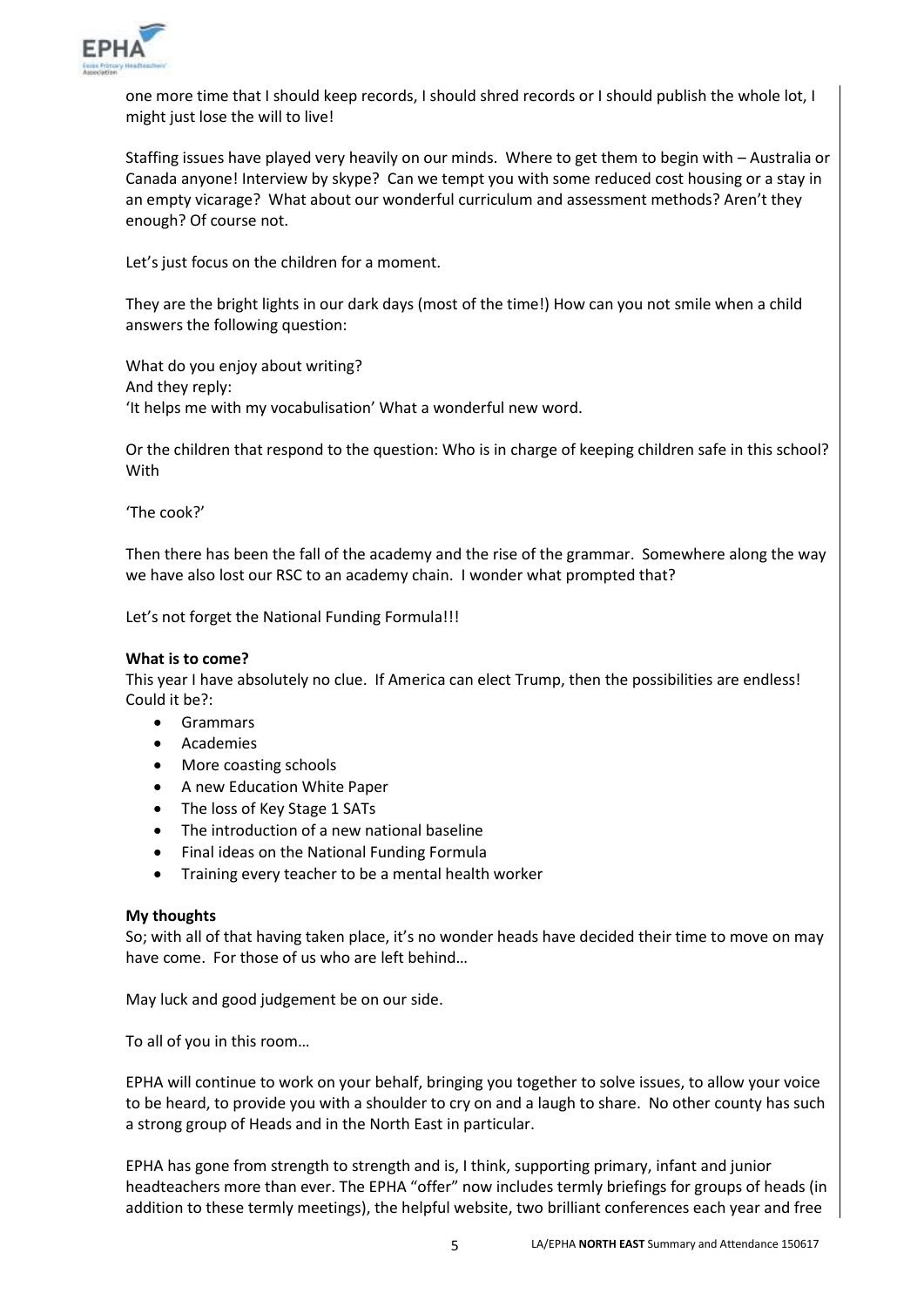

one more time that I should keep records, I should shred records or I should publish the whole lot, I might just lose the will to live!

Staffing issues have played very heavily on our minds. Where to get them to begin with – Australia or Canada anyone! Interview by skype? Can we tempt you with some reduced cost housing or a stay in an empty vicarage? What about our wonderful curriculum and assessment methods? Aren't they enough? Of course not.

Let's just focus on the children for a moment.

They are the bright lights in our dark days (most of the time!) How can you not smile when a child answers the following question:

What do you enjoy about writing? And they reply: 'It helps me with my vocabulisation' What a wonderful new word.

Or the children that respond to the question: Who is in charge of keeping children safe in this school? With

'The cook?'

Then there has been the fall of the academy and the rise of the grammar. Somewhere along the way we have also lost our RSC to an academy chain. I wonder what prompted that?

Let's not forget the National Funding Formula!!!

#### **What is to come?**

This year I have absolutely no clue. If America can elect Trump, then the possibilities are endless! Could it be?:

- Grammars
- Academies
- More coasting schools
- A new Education White Paper
- The loss of Key Stage 1 SATs
- The introduction of a new national baseline
- Final ideas on the National Funding Formula
- Training every teacher to be a mental health worker

#### **My thoughts**

So; with all of that having taken place, it's no wonder heads have decided their time to move on may have come. For those of us who are left behind…

May luck and good judgement be on our side.

To all of you in this room…

EPHA will continue to work on your behalf, bringing you together to solve issues, to allow your voice to be heard, to provide you with a shoulder to cry on and a laugh to share. No other county has such a strong group of Heads and in the North East in particular.

EPHA has gone from strength to strength and is, I think, supporting primary, infant and junior headteachers more than ever. The EPHA "offer" now includes termly briefings for groups of heads (in addition to these termly meetings), the helpful website, two brilliant conferences each year and free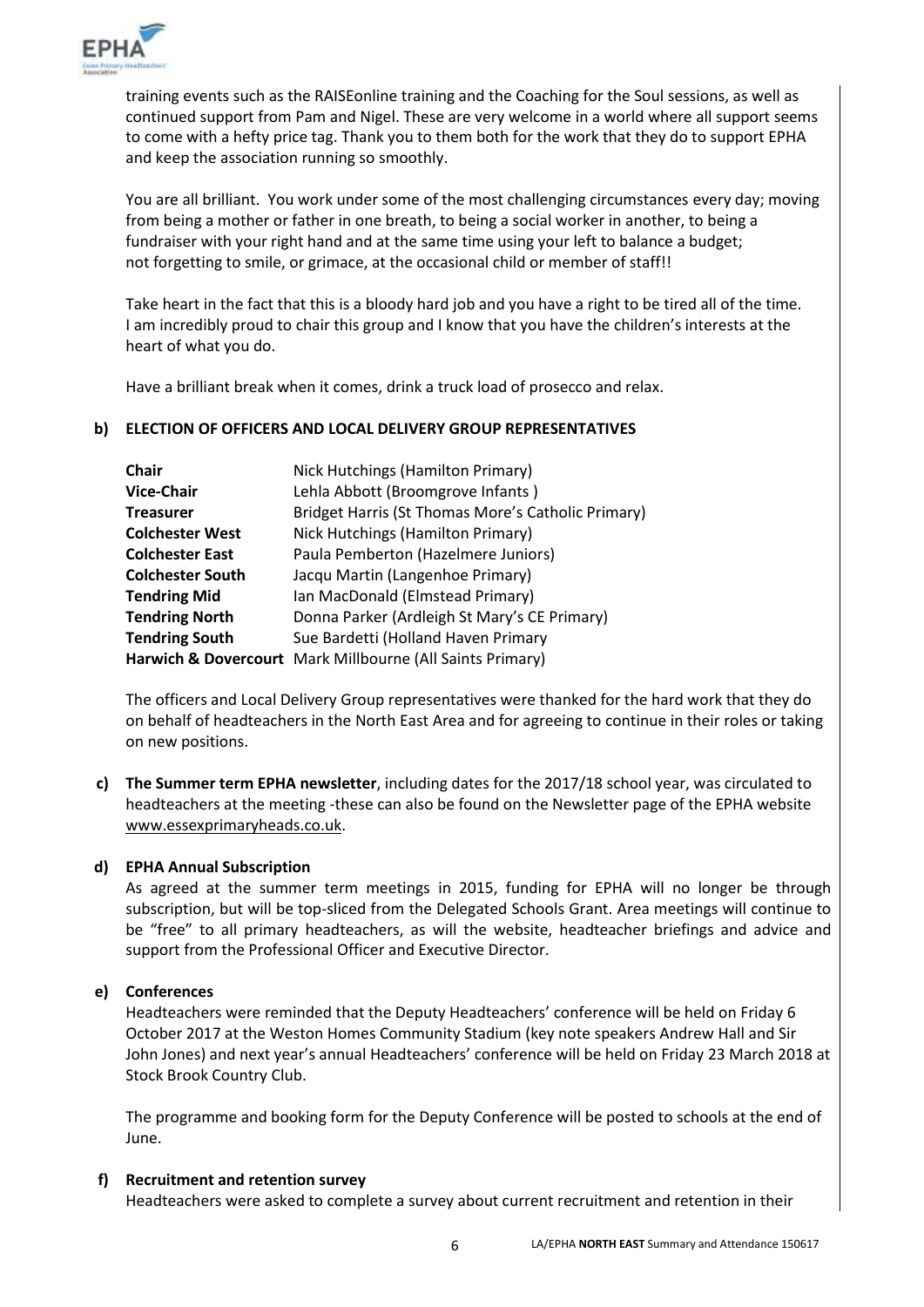

training events such as the RAISEonline training and the Coaching for the Soul sessions, as well as continued support from Pam and Nigel. These are very welcome in a world where all support seems to come with a hefty price tag. Thank you to them both for the work that they do to support EPHA and keep the association running so smoothly.

You are all brilliant. You work under some of the most challenging circumstances every day; moving from being a mother or father in one breath, to being a social worker in another, to being a fundraiser with your right hand and at the same time using your left to balance a budget; not forgetting to smile, or grimace, at the occasional child or member of staff!!

Take heart in the fact that this is a bloody hard job and you have a right to be tired all of the time. I am incredibly proud to chair this group and I know that you have the children's interests at the heart of what you do.

Have a brilliant break when it comes, drink a truck load of prosecco and relax.

# **b) ELECTION OF OFFICERS AND LOCAL DELIVERY GROUP REPRESENTATIVES**

| <b>Chair</b>            | Nick Hutchings (Hamilton Primary)                                    |
|-------------------------|----------------------------------------------------------------------|
| <b>Vice-Chair</b>       | Lehla Abbott (Broomgrove Infants)                                    |
| <b>Treasurer</b>        | Bridget Harris (St Thomas More's Catholic Primary)                   |
| <b>Colchester West</b>  | Nick Hutchings (Hamilton Primary)                                    |
| <b>Colchester East</b>  | Paula Pemberton (Hazelmere Juniors)                                  |
| <b>Colchester South</b> | Jacqu Martin (Langenhoe Primary)                                     |
| <b>Tendring Mid</b>     | Ian MacDonald (Elmstead Primary)                                     |
| <b>Tendring North</b>   | Donna Parker (Ardleigh St Mary's CE Primary)                         |
| <b>Tendring South</b>   | Sue Bardetti (Holland Haven Primary                                  |
|                         | <b>Harwich &amp; Dovercourt</b> Mark Millbourne (All Saints Primary) |

The officers and Local Delivery Group representatives were thanked for the hard work that they do on behalf of headteachers in the North East Area and for agreeing to continue in their roles or taking on new positions.

**c) The Summer term EPHA newsletter**, including dates for the 2017/18 school year, was circulated to headteachers at the meeting -these can also be found on the Newsletter page of the EPHA website [www.essexprimaryheads.co.uk.](http://www.essexprimaryheads.co.uk/)

# **d) EPHA Annual Subscription**

As agreed at the summer term meetings in 2015, funding for EPHA will no longer be through subscription, but will be top-sliced from the Delegated Schools Grant. Area meetings will continue to be "free" to all primary headteachers, as will the website, headteacher briefings and advice and support from the Professional Officer and Executive Director.

# **e) Conferences**

Headteachers were reminded that the Deputy Headteachers' conference will be held on Friday 6 October 2017 at the Weston Homes Community Stadium (key note speakers Andrew Hall and Sir John Jones) and next year's annual Headteachers' conference will be held on Friday 23 March 2018 at Stock Brook Country Club.

The programme and booking form for the Deputy Conference will be posted to schools at the end of June.

# **f) Recruitment and retention survey**

Headteachers were asked to complete a survey about current recruitment and retention in their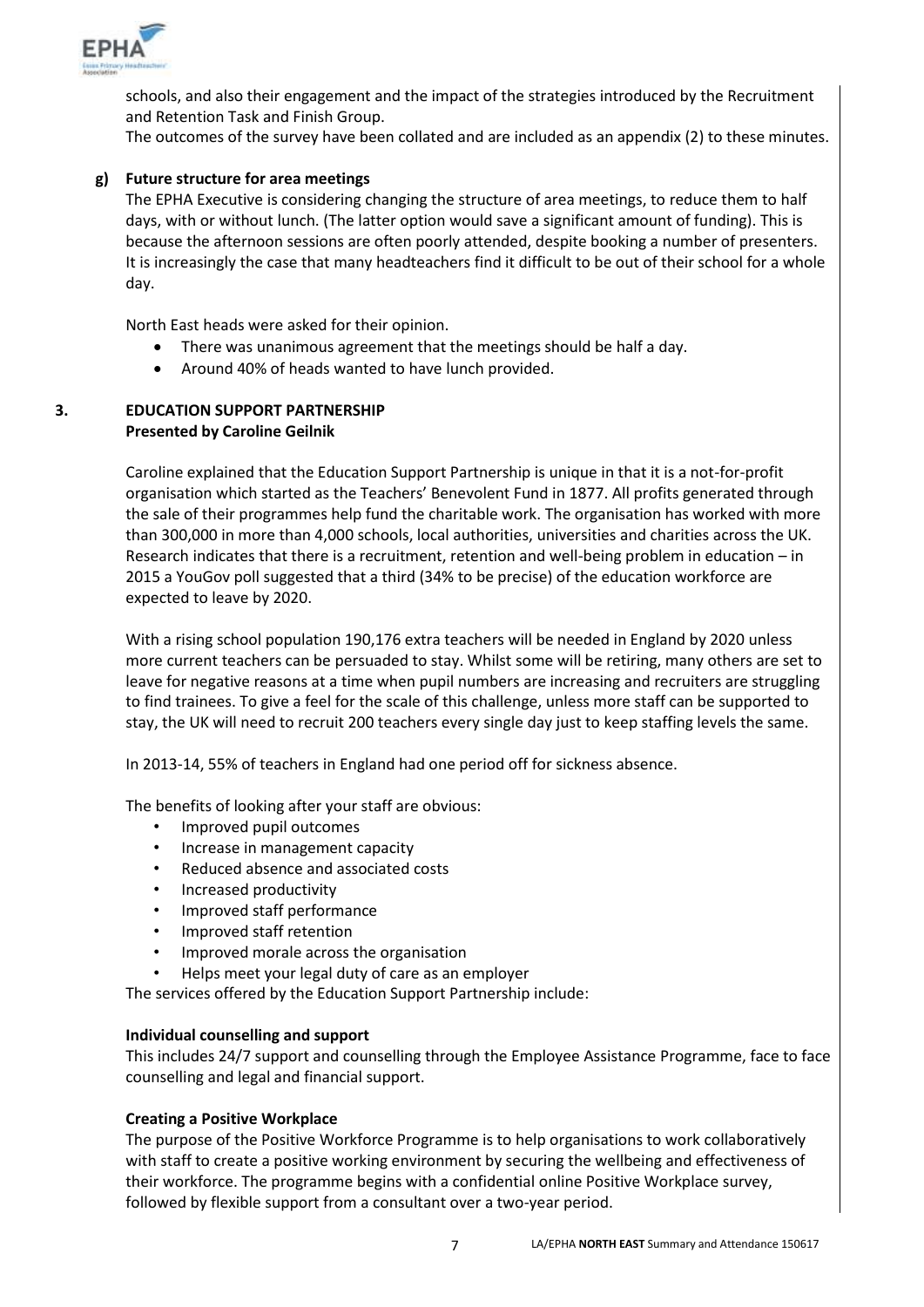

schools, and also their engagement and the impact of the strategies introduced by the Recruitment and Retention Task and Finish Group.

The outcomes of the survey have been collated and are included as an appendix (2) to these minutes.

# **g) Future structure for area meetings**

The EPHA Executive is considering changing the structure of area meetings, to reduce them to half days, with or without lunch. (The latter option would save a significant amount of funding). This is because the afternoon sessions are often poorly attended, despite booking a number of presenters. It is increasingly the case that many headteachers find it difficult to be out of their school for a whole day.

North East heads were asked for their opinion.

- There was unanimous agreement that the meetings should be half a day.
- Around 40% of heads wanted to have lunch provided.
- **3. EDUCATION SUPPORT PARTNERSHIP Presented by Caroline Geilnik**

Caroline explained that the Education Support Partnership is unique in that it is a not-for-profit organisation which started as the Teachers' Benevolent Fund in 1877. All profits generated through the sale of their programmes help fund the charitable work. The organisation has worked with more than 300,000 in more than 4,000 schools, local authorities, universities and charities across the UK. Research indicates that there is a recruitment, retention and well-being problem in education – in 2015 a YouGov poll suggested that a third (34% to be precise) of the education workforce are expected to leave by 2020.

With a rising school population 190,176 extra teachers will be needed in England by 2020 unless more current teachers can be persuaded to stay. Whilst some will be retiring, many others are set to leave for negative reasons at a time when pupil numbers are increasing and recruiters are struggling to find trainees. To give a feel for the scale of this challenge, unless more staff can be supported to stay, the UK will need to recruit 200 teachers every single day just to keep staffing levels the same.

In 2013-14, 55% of teachers in England had one period off for sickness absence.

The benefits of looking after your staff are obvious:

- Improved pupil outcomes
- Increase in management capacity
- Reduced absence and associated costs
- Increased productivity
- Improved staff performance
- Improved staff retention
- Improved morale across the organisation
- Helps meet your legal duty of care as an employer

The services offered by the Education Support Partnership include:

#### **Individual counselling and support**

This includes 24/7 support and counselling through the Employee Assistance Programme, face to face counselling and legal and financial support.

# **Creating a Positive Workplace**

The purpose of the Positive Workforce Programme is to help organisations to work collaboratively with staff to create a positive working environment by securing the wellbeing and effectiveness of their workforce. The programme begins with a confidential online Positive Workplace survey, followed by flexible support from a consultant over a two-year period.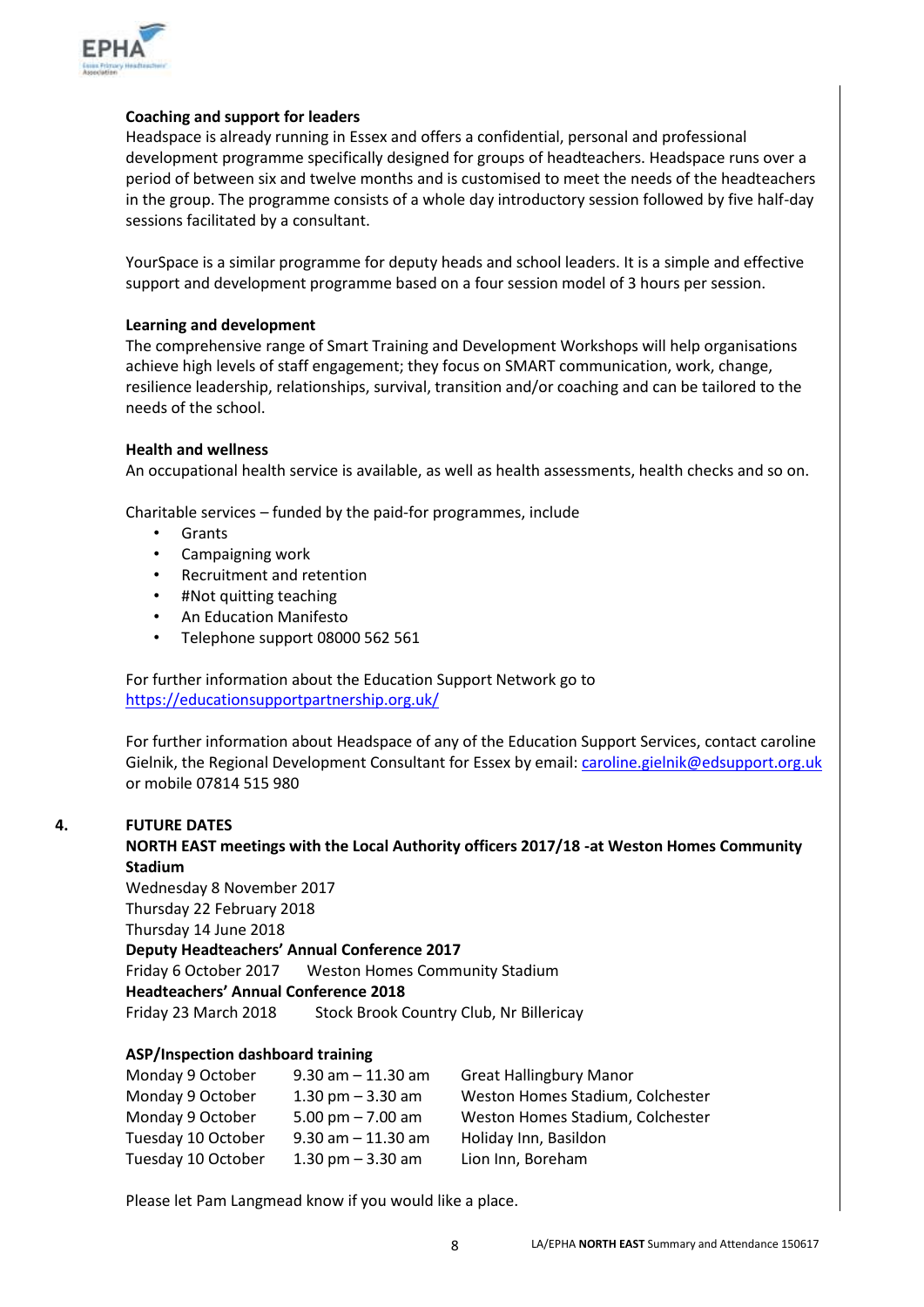

# **Coaching and support for leaders**

Headspace is already running in Essex and offers a confidential, personal and professional development programme specifically designed for groups of headteachers. Headspace runs over a period of between six and twelve months and is customised to meet the needs of the headteachers in the group. The programme consists of a whole day introductory session followed by five half-day sessions facilitated by a consultant.

YourSpace is a similar programme for deputy heads and school leaders. It is a simple and effective support and development programme based on a four session model of 3 hours per session.

# **Learning and development**

The comprehensive range of Smart Training and Development Workshops will help organisations achieve high levels of staff engagement; they focus on SMART communication, work, change, resilience leadership, relationships, survival, transition and/or coaching and can be tailored to the needs of the school.

# **Health and wellness**

An occupational health service is available, as well as health assessments, health checks and so on.

Charitable services – funded by the paid-for programmes, include

- Grants
- Campaigning work
- Recruitment and retention
- #Not quitting teaching
- An Education Manifesto
- Telephone support 08000 562 561

For further information about the Education Support Network go to <https://educationsupportpartnership.org.uk/>

For further information about Headspace of any of the Education Support Services, contact caroline Gielnik, the Regional Development Consultant for Essex by email: [caroline.gielnik@edsupport.org.uk](mailto:caroline.gielnik@edsupport.org.uk) or mobile 07814 515 980

# **4. FUTURE DATES**

**NORTH EAST meetings with the Local Authority officers 2017/18 -at Weston Homes Community Stadium**

Wednesday 8 November 2017 Thursday 22 February 2018 Thursday 14 June 2018 **Deputy Headteachers' Annual Conference 2017** Friday 6 October 2017 Weston Homes Community Stadium **Headteachers' Annual Conference 2018** Friday 23 March 2018 Stock Brook Country Club, Nr Billericay

# **ASP/Inspection dashboard training**

| $9.30$ am $-11.30$ am | <b>Great Hallingbury Manor</b>   |
|-----------------------|----------------------------------|
| 1.30 pm $-$ 3.30 am   | Weston Homes Stadium, Colchester |
| 5.00 pm $- 7.00$ am   | Weston Homes Stadium, Colchester |
| $9.30$ am $-11.30$ am | Holiday Inn, Basildon            |
| 1.30 pm $-$ 3.30 am   | Lion Inn, Boreham                |
|                       |                                  |

Please let Pam Langmead know if you would like a place.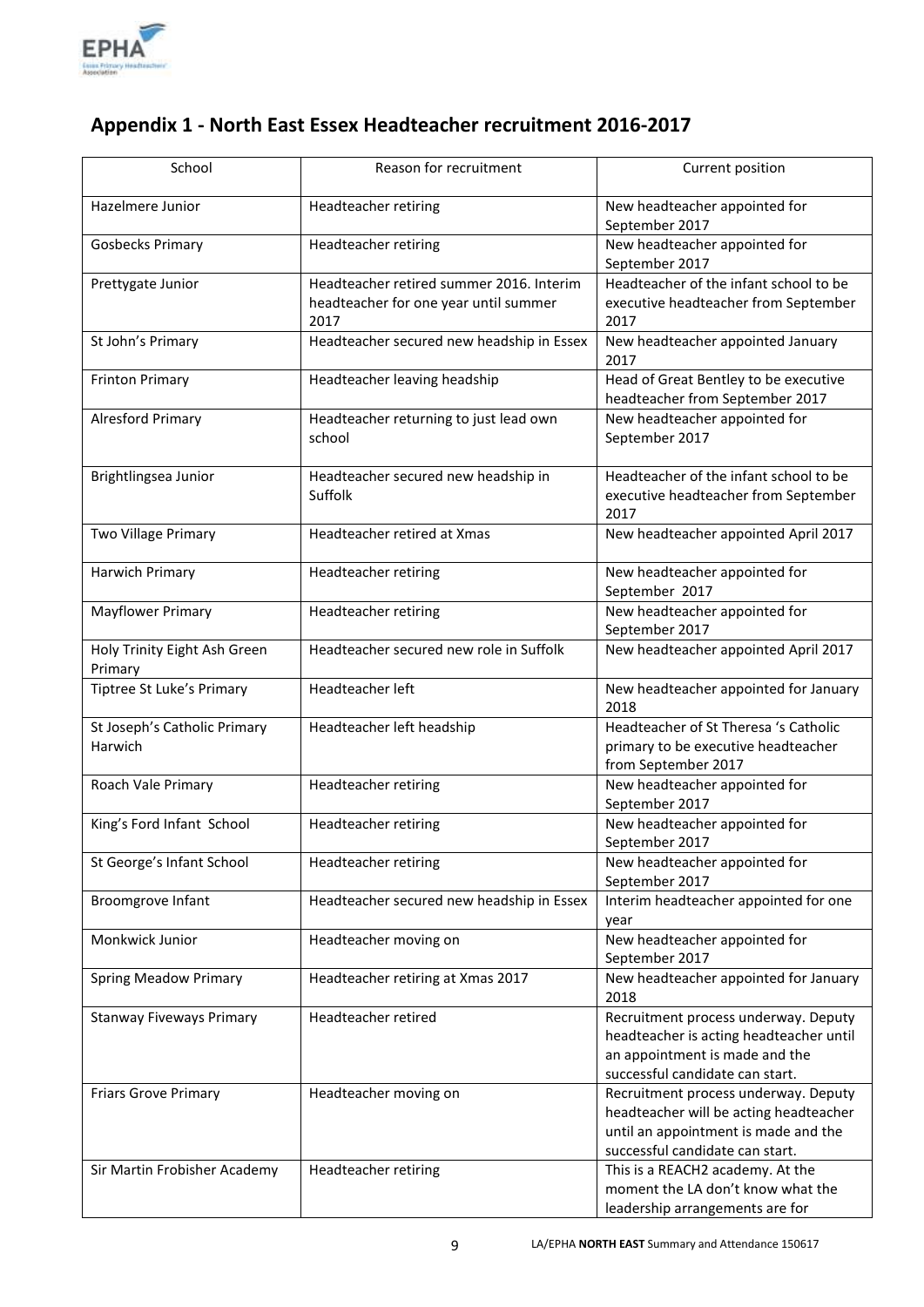

# **Appendix 1 - North East Essex Headteacher recruitment 2016-2017**

| School                                  | Reason for recruitment                           | Current position                                                                                    |
|-----------------------------------------|--------------------------------------------------|-----------------------------------------------------------------------------------------------------|
| Hazelmere Junior                        | Headteacher retiring                             | New headteacher appointed for<br>September 2017                                                     |
| <b>Gosbecks Primary</b>                 | Headteacher retiring                             | New headteacher appointed for<br>September 2017                                                     |
| Prettygate Junior                       | Headteacher retired summer 2016. Interim         | Headteacher of the infant school to be                                                              |
|                                         | headteacher for one year until summer<br>2017    | executive headteacher from September<br>2017                                                        |
| St John's Primary                       | Headteacher secured new headship in Essex        | New headteacher appointed January<br>2017                                                           |
| <b>Frinton Primary</b>                  | Headteacher leaving headship                     | Head of Great Bentley to be executive<br>headteacher from September 2017                            |
| <b>Alresford Primary</b>                | Headteacher returning to just lead own<br>school | New headteacher appointed for<br>September 2017                                                     |
| Brightlingsea Junior                    | Headteacher secured new headship in<br>Suffolk   | Headteacher of the infant school to be<br>executive headteacher from September<br>2017              |
| Two Village Primary                     | Headteacher retired at Xmas                      | New headteacher appointed April 2017                                                                |
| Harwich Primary                         | Headteacher retiring                             | New headteacher appointed for<br>September 2017                                                     |
| <b>Mayflower Primary</b>                | Headteacher retiring                             | New headteacher appointed for<br>September 2017                                                     |
| Holy Trinity Eight Ash Green<br>Primary | Headteacher secured new role in Suffolk          | New headteacher appointed April 2017                                                                |
| Tiptree St Luke's Primary               | Headteacher left                                 | New headteacher appointed for January<br>2018                                                       |
| St Joseph's Catholic Primary<br>Harwich | Headteacher left headship                        | Headteacher of St Theresa 's Catholic<br>primary to be executive headteacher<br>from September 2017 |
| Roach Vale Primary                      | <b>Headteacher retiring</b>                      | New headteacher appointed for<br>September 2017                                                     |
| King's Ford Infant School               | Headteacher retiring                             | New headteacher appointed for<br>September 2017                                                     |
| St George's Infant School               | Headteacher retiring                             | New headteacher appointed for<br>September 2017                                                     |
| Broomgrove Infant                       | Headteacher secured new headship in Essex        | Interim headteacher appointed for one<br>year                                                       |
| Monkwick Junior                         | Headteacher moving on                            | New headteacher appointed for<br>September 2017                                                     |
| <b>Spring Meadow Primary</b>            | Headteacher retiring at Xmas 2017                | New headteacher appointed for January<br>2018                                                       |
| <b>Stanway Fiveways Primary</b>         | Headteacher retired                              | Recruitment process underway. Deputy<br>headteacher is acting headteacher until                     |
|                                         |                                                  | an appointment is made and the<br>successful candidate can start.                                   |
| <b>Friars Grove Primary</b>             | Headteacher moving on                            | Recruitment process underway. Deputy                                                                |
|                                         |                                                  | headteacher will be acting headteacher                                                              |
|                                         |                                                  | until an appointment is made and the                                                                |
| Sir Martin Frobisher Academy            | Headteacher retiring                             | successful candidate can start.<br>This is a REACH2 academy. At the                                 |
|                                         |                                                  | moment the LA don't know what the                                                                   |
|                                         |                                                  | leadership arrangements are for                                                                     |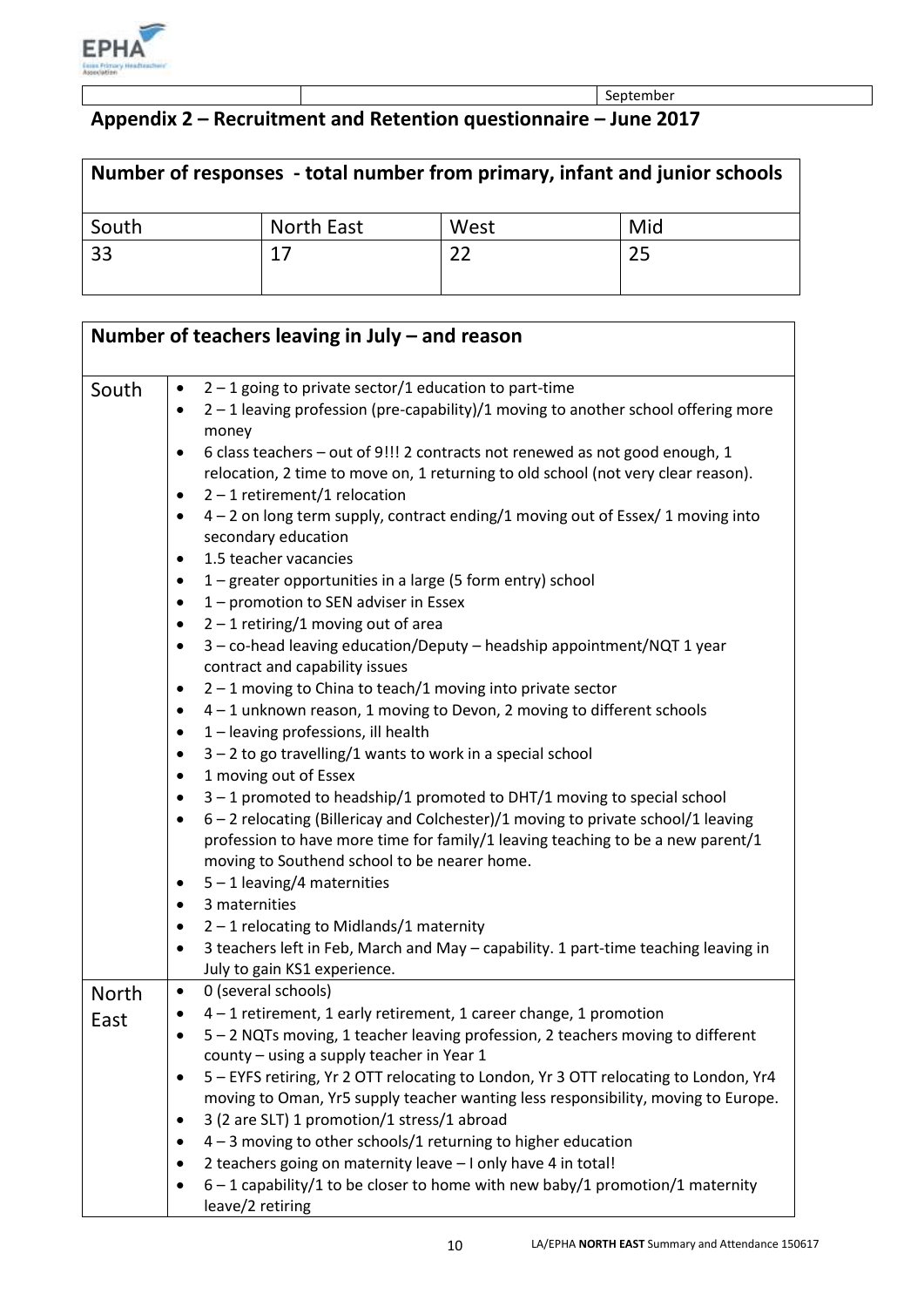

September

# **Appendix 2 – Recruitment and Retention questionnaire – June 2017**

| Number of responses - total number from primary, infant and junior schools |                   |      |     |  |
|----------------------------------------------------------------------------|-------------------|------|-----|--|
| South                                                                      | <b>North East</b> | West | Mid |  |
| 33                                                                         | 17                |      | 25  |  |

| Number of teachers leaving in July $-$ and reason |           |                                                                                                                              |  |  |
|---------------------------------------------------|-----------|------------------------------------------------------------------------------------------------------------------------------|--|--|
|                                                   |           |                                                                                                                              |  |  |
| South                                             | $\bullet$ | $2 - 1$ going to private sector/1 education to part-time                                                                     |  |  |
|                                                   | $\bullet$ | 2 - 1 leaving profession (pre-capability)/1 moving to another school offering more                                           |  |  |
|                                                   |           | money                                                                                                                        |  |  |
|                                                   | ٠         | 6 class teachers - out of 9!!! 2 contracts not renewed as not good enough, 1                                                 |  |  |
|                                                   |           | relocation, 2 time to move on, 1 returning to old school (not very clear reason).                                            |  |  |
|                                                   | $\bullet$ | $2 - 1$ retirement/1 relocation                                                                                              |  |  |
|                                                   | ٠         | 4 - 2 on long term supply, contract ending/1 moving out of Essex/ 1 moving into                                              |  |  |
|                                                   |           | secondary education                                                                                                          |  |  |
|                                                   | $\bullet$ | 1.5 teacher vacancies                                                                                                        |  |  |
|                                                   | $\bullet$ | 1 – greater opportunities in a large (5 form entry) school                                                                   |  |  |
|                                                   | ٠         | 1 - promotion to SEN adviser in Essex                                                                                        |  |  |
|                                                   | ٠<br>٠    | $2 - 1$ retiring/1 moving out of area<br>3 - co-head leaving education/Deputy - headship appointment/NQT 1 year              |  |  |
|                                                   |           | contract and capability issues                                                                                               |  |  |
|                                                   | $\bullet$ | $2 - 1$ moving to China to teach/1 moving into private sector                                                                |  |  |
|                                                   | ٠         | 4-1 unknown reason, 1 moving to Devon, 2 moving to different schools                                                         |  |  |
|                                                   | ٠         | 1 - leaving professions, ill health                                                                                          |  |  |
|                                                   | ٠         | $3 - 2$ to go travelling/1 wants to work in a special school                                                                 |  |  |
|                                                   | ٠         | 1 moving out of Essex                                                                                                        |  |  |
|                                                   | ٠         | $3 - 1$ promoted to headship/1 promoted to DHT/1 moving to special school                                                    |  |  |
|                                                   | $\bullet$ | 6 - 2 relocating (Billericay and Colchester)/1 moving to private school/1 leaving                                            |  |  |
|                                                   |           | profession to have more time for family/1 leaving teaching to be a new parent/1                                              |  |  |
|                                                   |           | moving to Southend school to be nearer home.                                                                                 |  |  |
|                                                   | ٠         | $5 - 1$ leaving/4 maternities                                                                                                |  |  |
|                                                   | ٠         | 3 maternities                                                                                                                |  |  |
|                                                   | ٠         | $2 - 1$ relocating to Midlands/1 maternity                                                                                   |  |  |
|                                                   | ٠         | 3 teachers left in Feb, March and May - capability. 1 part-time teaching leaving in                                          |  |  |
|                                                   |           | July to gain KS1 experience.                                                                                                 |  |  |
| <b>North</b>                                      | $\bullet$ | 0 (several schools)                                                                                                          |  |  |
| East                                              |           | 4 – 1 retirement, 1 early retirement, 1 career change, 1 promotion                                                           |  |  |
|                                                   |           | 5 - 2 NQTs moving, 1 teacher leaving profession, 2 teachers moving to different<br>county - using a supply teacher in Year 1 |  |  |
|                                                   | ٠         | 5 - EYFS retiring, Yr 2 OTT relocating to London, Yr 3 OTT relocating to London, Yr4                                         |  |  |
|                                                   |           | moving to Oman, Yr5 supply teacher wanting less responsibility, moving to Europe.                                            |  |  |
|                                                   | ٠         | 3 (2 are SLT) 1 promotion/1 stress/1 abroad                                                                                  |  |  |
|                                                   |           | $4 - 3$ moving to other schools/1 returning to higher education                                                              |  |  |
|                                                   |           | 2 teachers going on maternity leave - I only have 4 in total!                                                                |  |  |
|                                                   |           | $6 - 1$ capability/1 to be closer to home with new baby/1 promotion/1 maternity                                              |  |  |
|                                                   |           | leave/2 retiring                                                                                                             |  |  |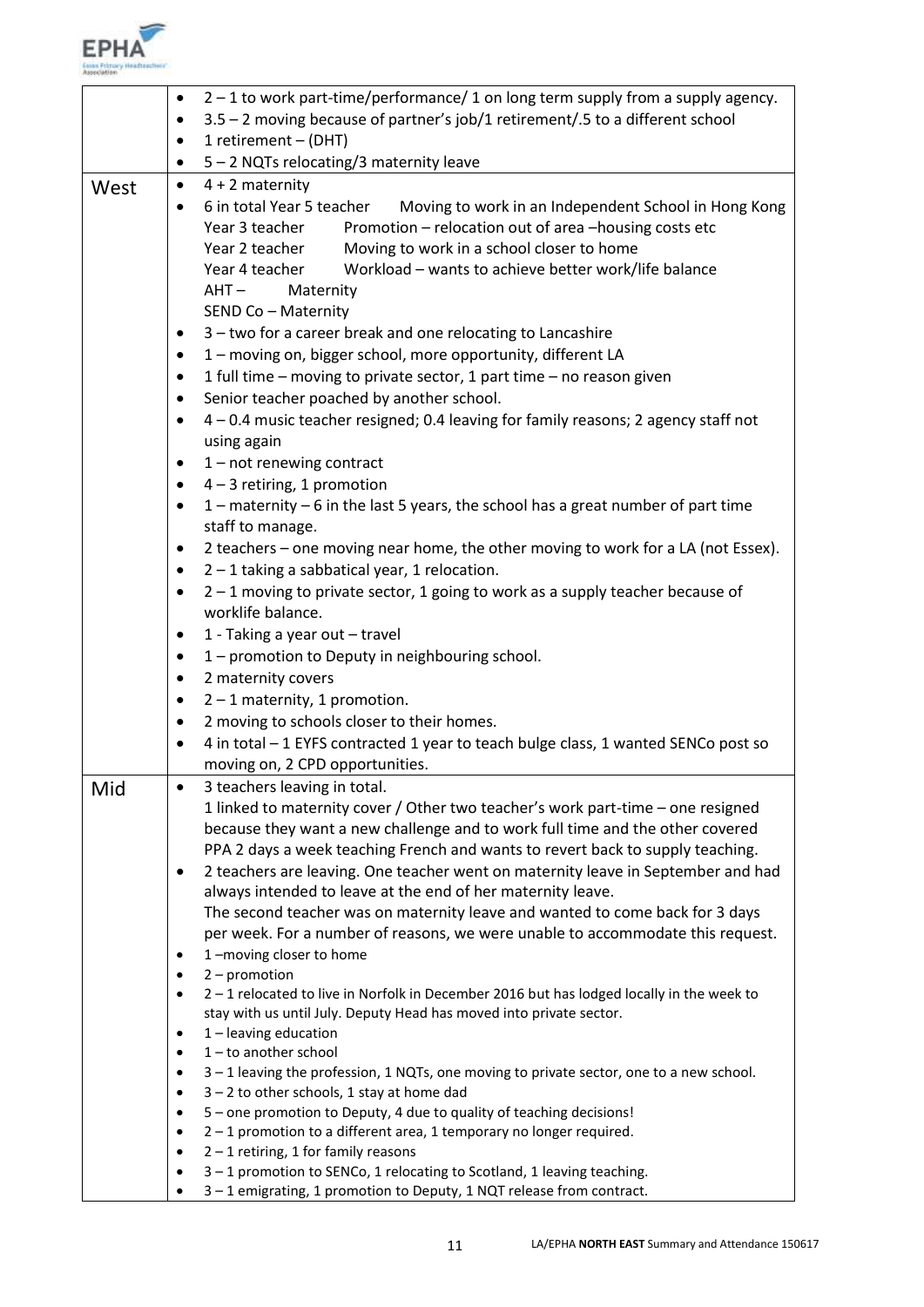

|      | 2 – 1 to work part-time/performance/ 1 on long term supply from a supply agency.<br>٠ |                                                                                                                      |  |  |
|------|---------------------------------------------------------------------------------------|----------------------------------------------------------------------------------------------------------------------|--|--|
|      | ٠                                                                                     | 3.5 - 2 moving because of partner's job/1 retirement/.5 to a different school                                        |  |  |
|      | ٠                                                                                     | 1 retirement - (DHT)                                                                                                 |  |  |
|      | ٠                                                                                     | 5 - 2 NQTs relocating/3 maternity leave                                                                              |  |  |
| West | $\bullet$                                                                             | $4 + 2$ maternity                                                                                                    |  |  |
|      | ٠                                                                                     | 6 in total Year 5 teacher<br>Moving to work in an Independent School in Hong Kong                                    |  |  |
|      |                                                                                       | Promotion - relocation out of area -housing costs etc<br>Year 3 teacher                                              |  |  |
|      |                                                                                       | Moving to work in a school closer to home<br>Year 2 teacher                                                          |  |  |
|      |                                                                                       | Workload - wants to achieve better work/life balance<br>Year 4 teacher                                               |  |  |
|      |                                                                                       | AHT –<br>Maternity                                                                                                   |  |  |
|      |                                                                                       | SEND Co - Maternity                                                                                                  |  |  |
|      | ٠                                                                                     | 3 - two for a career break and one relocating to Lancashire                                                          |  |  |
|      | ٠                                                                                     | 1 - moving on, bigger school, more opportunity, different LA                                                         |  |  |
|      | $\bullet$                                                                             | 1 full time - moving to private sector, 1 part time - no reason given                                                |  |  |
|      | $\bullet$                                                                             | Senior teacher poached by another school.                                                                            |  |  |
|      | $\bullet$                                                                             | 4 - 0.4 music teacher resigned; 0.4 leaving for family reasons; 2 agency staff not                                   |  |  |
|      |                                                                                       | using again                                                                                                          |  |  |
|      | $\bullet$                                                                             | $1$ – not renewing contract                                                                                          |  |  |
|      | $\bullet$                                                                             | $4 - 3$ retiring, 1 promotion                                                                                        |  |  |
|      | $\bullet$                                                                             | $1$ – maternity – 6 in the last 5 years, the school has a great number of part time                                  |  |  |
|      |                                                                                       | staff to manage.                                                                                                     |  |  |
|      | $\bullet$                                                                             | 2 teachers – one moving near home, the other moving to work for a LA (not Essex).                                    |  |  |
|      | $\bullet$                                                                             | $2 - 1$ taking a sabbatical year, 1 relocation.                                                                      |  |  |
|      | $\bullet$                                                                             | $2 - 1$ moving to private sector, 1 going to work as a supply teacher because of                                     |  |  |
|      |                                                                                       | worklife balance.                                                                                                    |  |  |
|      | $\bullet$                                                                             | 1 - Taking a year out - travel                                                                                       |  |  |
|      | $\bullet$                                                                             | 1 - promotion to Deputy in neighbouring school.                                                                      |  |  |
|      | $\bullet$                                                                             | 2 maternity covers                                                                                                   |  |  |
|      | $\bullet$                                                                             | $2 - 1$ maternity, 1 promotion.                                                                                      |  |  |
|      | ٠                                                                                     | 2 moving to schools closer to their homes.                                                                           |  |  |
|      |                                                                                       | 4 in total - 1 EYFS contracted 1 year to teach bulge class, 1 wanted SENCo post so                                   |  |  |
|      |                                                                                       | moving on, 2 CPD opportunities.                                                                                      |  |  |
| Mid  |                                                                                       | 3 teachers leaving in total.                                                                                         |  |  |
|      |                                                                                       | 1 linked to maternity cover / Other two teacher's work part-time - one resigned                                      |  |  |
|      |                                                                                       | because they want a new challenge and to work full time and the other covered                                        |  |  |
|      |                                                                                       | PPA 2 days a week teaching French and wants to revert back to supply teaching.                                       |  |  |
|      | ٠                                                                                     | 2 teachers are leaving. One teacher went on maternity leave in September and had                                     |  |  |
|      |                                                                                       | always intended to leave at the end of her maternity leave.                                                          |  |  |
|      |                                                                                       | The second teacher was on maternity leave and wanted to come back for 3 days                                         |  |  |
|      |                                                                                       | per week. For a number of reasons, we were unable to accommodate this request.                                       |  |  |
|      | ٠                                                                                     | 1-moving closer to home                                                                                              |  |  |
|      | $\bullet$                                                                             | $2$ – promotion                                                                                                      |  |  |
|      |                                                                                       | 2-1 relocated to live in Norfolk in December 2016 but has lodged locally in the week to                              |  |  |
|      |                                                                                       | stay with us until July. Deputy Head has moved into private sector.                                                  |  |  |
|      | $\bullet$                                                                             | $1$ – leaving education                                                                                              |  |  |
|      | $\bullet$                                                                             | $1$ – to another school                                                                                              |  |  |
|      | $\bullet$                                                                             | 3-1 leaving the profession, 1 NQTs, one moving to private sector, one to a new school.                               |  |  |
|      | $\bullet$<br>$\bullet$                                                                | $3 - 2$ to other schools, 1 stay at home dad<br>5 - one promotion to Deputy, 4 due to quality of teaching decisions! |  |  |
|      | $\bullet$                                                                             | $2 - 1$ promotion to a different area, 1 temporary no longer required.                                               |  |  |
|      | $\bullet$                                                                             | $2 - 1$ retiring, 1 for family reasons                                                                               |  |  |
|      |                                                                                       | 3-1 promotion to SENCo, 1 relocating to Scotland, 1 leaving teaching.                                                |  |  |
|      |                                                                                       | 3-1 emigrating, 1 promotion to Deputy, 1 NQT release from contract.                                                  |  |  |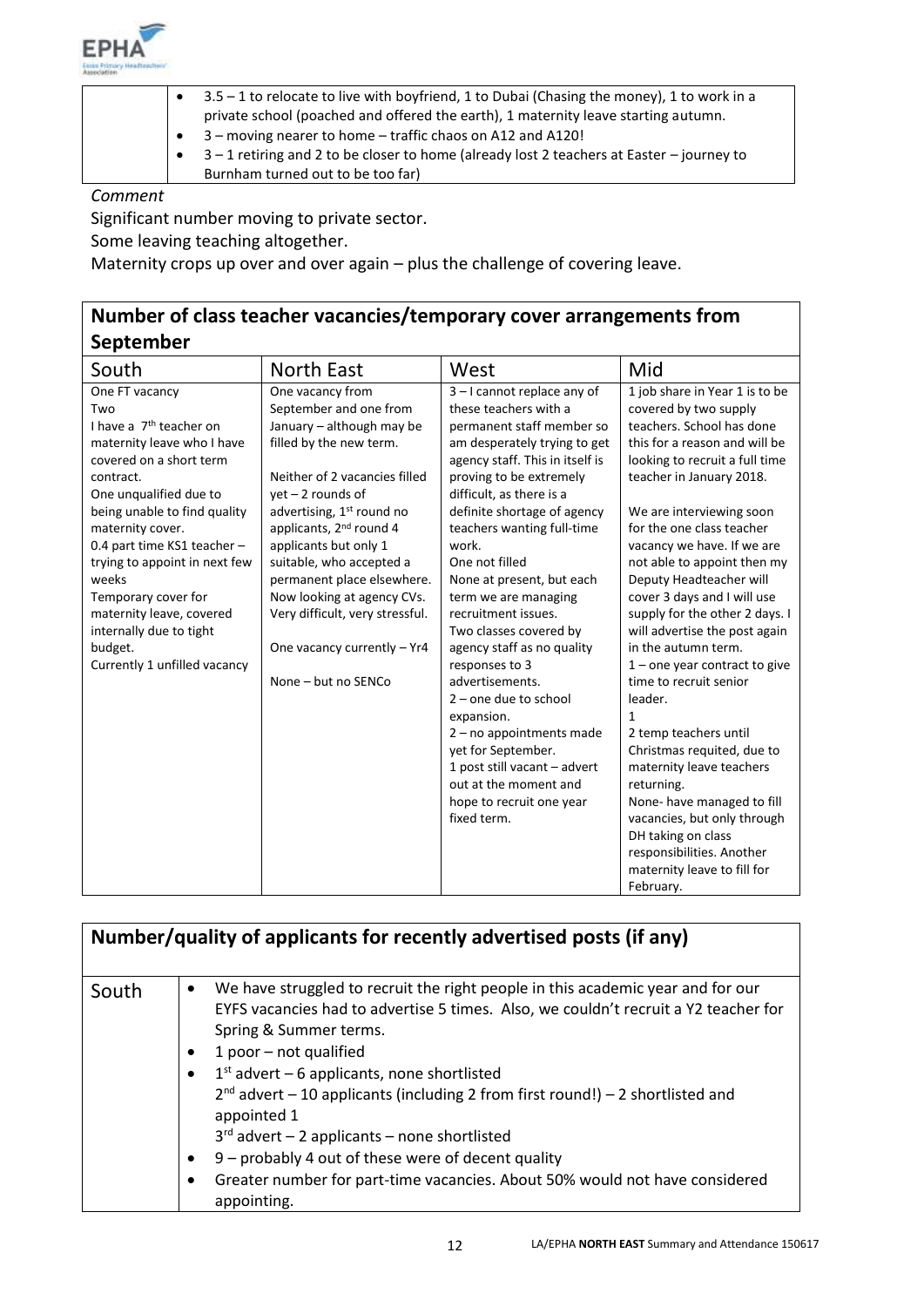

|  | 3.5 – 1 to relocate to live with boyfriend, 1 to Dubai (Chasing the money), 1 to work in a |
|--|--------------------------------------------------------------------------------------------|
|  | private school (poached and offered the earth), 1 maternity leave starting autumn.         |
|  | 3 – moving nearer to home – traffic chaos on A12 and A120!                                 |
|  | 3-1 retiring and 2 to be closer to home (already lost 2 teachers at Easter - journey to    |
|  | Burnham turned out to be too far)                                                          |
|  |                                                                                            |

Significant number moving to private sector.

Some leaving teaching altogether.

Maternity crops up over and over again – plus the challenge of covering leave.

# **Number of class teacher vacancies/temporary cover arrangements from September**

| South                                                                                                                                                                                                                                                                                                                                                                                                              | <b>North East</b>                                                                                                                                                                                                                                                                                                                                                                                                                                    | West                                                                                                                                                                                                                                                                                                                                                                                                                                                                                                                    | Mid                                                                                                                                                                                                                                                                                                                                                                                                                                                                                                                                        |
|--------------------------------------------------------------------------------------------------------------------------------------------------------------------------------------------------------------------------------------------------------------------------------------------------------------------------------------------------------------------------------------------------------------------|------------------------------------------------------------------------------------------------------------------------------------------------------------------------------------------------------------------------------------------------------------------------------------------------------------------------------------------------------------------------------------------------------------------------------------------------------|-------------------------------------------------------------------------------------------------------------------------------------------------------------------------------------------------------------------------------------------------------------------------------------------------------------------------------------------------------------------------------------------------------------------------------------------------------------------------------------------------------------------------|--------------------------------------------------------------------------------------------------------------------------------------------------------------------------------------------------------------------------------------------------------------------------------------------------------------------------------------------------------------------------------------------------------------------------------------------------------------------------------------------------------------------------------------------|
| One FT vacancy<br>Two<br>I have a 7 <sup>th</sup> teacher on<br>maternity leave who I have<br>covered on a short term<br>contract.<br>One unqualified due to<br>being unable to find quality<br>maternity cover.<br>0.4 part time KS1 teacher -<br>trying to appoint in next few<br>weeks<br>Temporary cover for<br>maternity leave, covered<br>internally due to tight<br>budget.<br>Currently 1 unfilled vacancy | One vacancy from<br>September and one from<br>January - although may be<br>filled by the new term.<br>Neither of 2 vacancies filled<br>$yet - 2 rounds of$<br>advertising, 1 <sup>st</sup> round no<br>applicants, 2 <sup>nd</sup> round 4<br>applicants but only 1<br>suitable, who accepted a<br>permanent place elsewhere.<br>Now looking at agency CVs.<br>Very difficult, very stressful.<br>One vacancy currently - Yr4<br>None - but no SENCo | $3 - 1$ cannot replace any of<br>these teachers with a<br>permanent staff member so<br>am desperately trying to get<br>agency staff. This in itself is<br>proving to be extremely<br>difficult, as there is a<br>definite shortage of agency<br>teachers wanting full-time<br>work.<br>One not filled<br>None at present, but each<br>term we are managing<br>recruitment issues.<br>Two classes covered by<br>agency staff as no quality<br>responses to 3<br>advertisements.<br>$2$ – one due to school<br>expansion. | 1 job share in Year 1 is to be<br>covered by two supply<br>teachers. School has done<br>this for a reason and will be<br>looking to recruit a full time<br>teacher in January 2018.<br>We are interviewing soon<br>for the one class teacher<br>vacancy we have. If we are<br>not able to appoint then my<br>Deputy Headteacher will<br>cover 3 days and I will use<br>supply for the other 2 days. I<br>will advertise the post again<br>in the autumn term.<br>$1$ – one year contract to give<br>time to recruit senior<br>leader.<br>1 |
|                                                                                                                                                                                                                                                                                                                                                                                                                    |                                                                                                                                                                                                                                                                                                                                                                                                                                                      | $2 - no$ appointments made<br>yet for September.                                                                                                                                                                                                                                                                                                                                                                                                                                                                        | 2 temp teachers until<br>Christmas requited, due to                                                                                                                                                                                                                                                                                                                                                                                                                                                                                        |
|                                                                                                                                                                                                                                                                                                                                                                                                                    |                                                                                                                                                                                                                                                                                                                                                                                                                                                      | 1 post still vacant - advert<br>out at the moment and<br>hope to recruit one year<br>fixed term.                                                                                                                                                                                                                                                                                                                                                                                                                        | maternity leave teachers<br>returning.<br>None-have managed to fill<br>vacancies, but only through<br>DH taking on class<br>responsibilities. Another<br>maternity leave to fill for<br>February.                                                                                                                                                                                                                                                                                                                                          |

|       | Number/quality of applicants for recently advertised posts (if any)                                                                                                                                                                                                                                                                                                                                                                                                                                                                                                                                                    |
|-------|------------------------------------------------------------------------------------------------------------------------------------------------------------------------------------------------------------------------------------------------------------------------------------------------------------------------------------------------------------------------------------------------------------------------------------------------------------------------------------------------------------------------------------------------------------------------------------------------------------------------|
| South | We have struggled to recruit the right people in this academic year and for our<br>٠<br>EYFS vacancies had to advertise 5 times. Also, we couldn't recruit a Y2 teacher for<br>Spring & Summer terms.<br>1 poor - not qualified<br>$\bullet$<br>$1st$ advert – 6 applicants, none shortlisted<br>$2^{nd}$ advert – 10 applicants (including 2 from first round!) – 2 shortlisted and<br>appointed 1<br>$3rd$ advert – 2 applicants – none shortlisted<br>9 - probably 4 out of these were of decent quality<br>$\bullet$<br>Greater number for part-time vacancies. About 50% would not have considered<br>appointing. |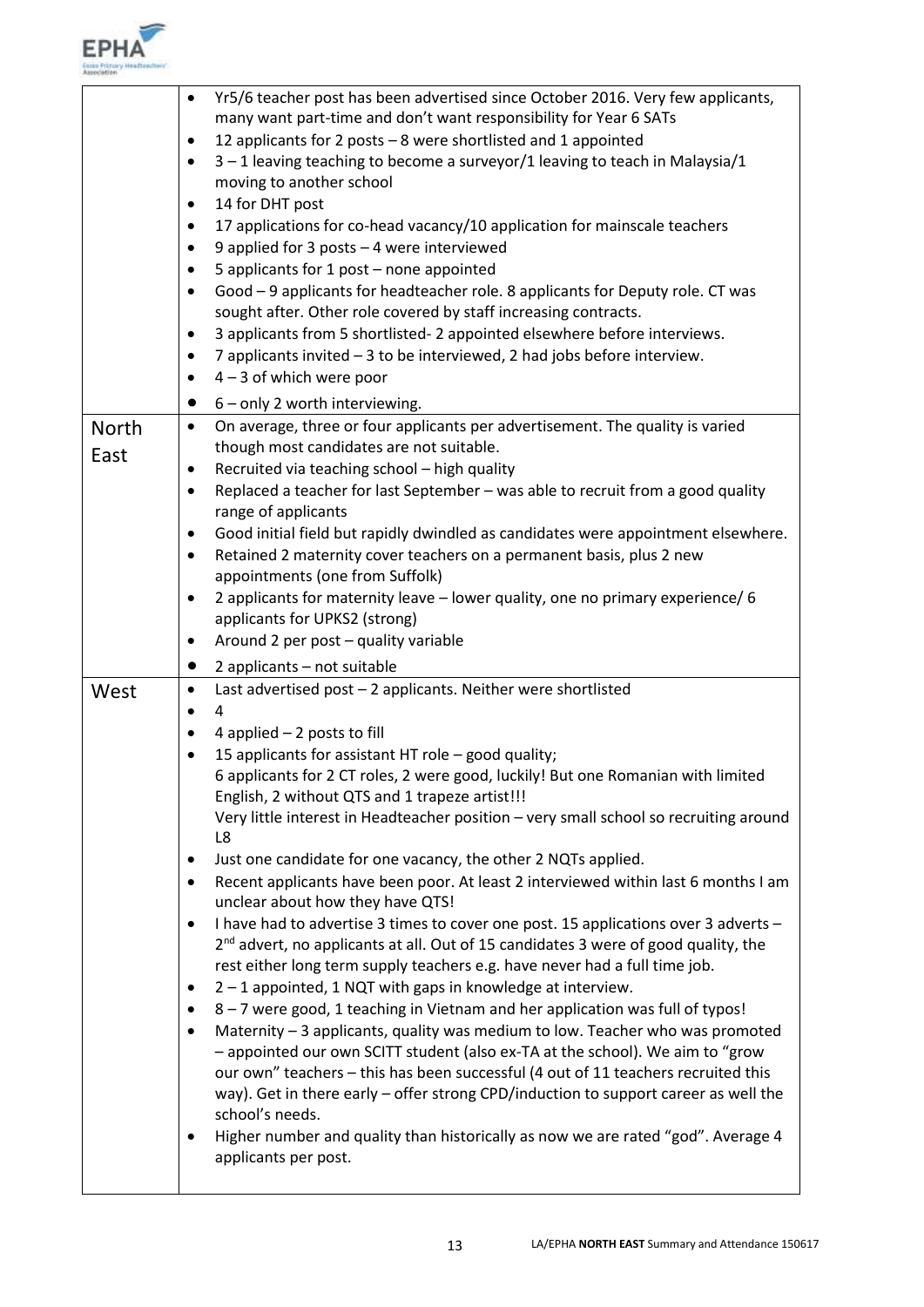

H

|              | Yr5/6 teacher post has been advertised since October 2016. Very few applicants,<br>$\bullet$                  |
|--------------|---------------------------------------------------------------------------------------------------------------|
|              | many want part-time and don't want responsibility for Year 6 SATs                                             |
|              | 12 applicants for 2 posts - 8 were shortlisted and 1 appointed<br>٠                                           |
|              | 3-1 leaving teaching to become a surveyor/1 leaving to teach in Malaysia/1<br>٠                               |
|              | moving to another school                                                                                      |
|              | 14 for DHT post<br>٠                                                                                          |
|              | 17 applications for co-head vacancy/10 application for mainscale teachers                                     |
|              | 9 applied for 3 posts - 4 were interviewed<br>٠                                                               |
|              | 5 applicants for 1 post - none appointed                                                                      |
|              | Good - 9 applicants for headteacher role. 8 applicants for Deputy role. CT was                                |
|              | sought after. Other role covered by staff increasing contracts.                                               |
|              | 3 applicants from 5 shortlisted-2 appointed elsewhere before interviews.<br>٠                                 |
|              | 7 applicants invited - 3 to be interviewed, 2 had jobs before interview.<br>$\bullet$                         |
|              | $4 - 3$ of which were poor<br>٠                                                                               |
|              | 6 - only 2 worth interviewing.                                                                                |
| <b>North</b> | On average, three or four applicants per advertisement. The quality is varied<br>$\bullet$                    |
| East         | though most candidates are not suitable.                                                                      |
|              | Recruited via teaching school - high quality                                                                  |
|              | Replaced a teacher for last September - was able to recruit from a good quality<br>$\bullet$                  |
|              | range of applicants                                                                                           |
|              | Good initial field but rapidly dwindled as candidates were appointment elsewhere.<br>٠                        |
|              | Retained 2 maternity cover teachers on a permanent basis, plus 2 new<br>$\bullet$                             |
|              | appointments (one from Suffolk)                                                                               |
|              | 2 applicants for maternity leave - lower quality, one no primary experience/ 6                                |
|              | applicants for UPKS2 (strong)                                                                                 |
|              | Around 2 per post - quality variable<br>٠                                                                     |
|              |                                                                                                               |
|              | 2 applicants - not suitable<br>$\bullet$                                                                      |
| West         | Last advertised post - 2 applicants. Neither were shortlisted<br>٠                                            |
|              | 4                                                                                                             |
|              | 4 applied $-2$ posts to fill<br>$\bullet$                                                                     |
|              | 15 applicants for assistant HT role - good quality;                                                           |
|              | 6 applicants for 2 CT roles, 2 were good, luckily! But one Romanian with limited                              |
|              | English, 2 without QTS and 1 trapeze artist!!!                                                                |
|              | Very little interest in Headteacher position - very small school so recruiting around                         |
|              | L8                                                                                                            |
|              | Just one candidate for one vacancy, the other 2 NQTs applied.<br>٠                                            |
|              | Recent applicants have been poor. At least 2 interviewed within last 6 months I am<br>$\bullet$               |
|              | unclear about how they have QTS!                                                                              |
|              | I have had to advertise 3 times to cover one post. 15 applications over 3 adverts -<br>٠                      |
|              | $2nd$ advert, no applicants at all. Out of 15 candidates 3 were of good quality, the                          |
|              | rest either long term supply teachers e.g. have never had a full time job.                                    |
|              | 2 - 1 appointed, 1 NQT with gaps in knowledge at interview.<br>٠                                              |
|              | 8 - 7 were good, 1 teaching in Vietnam and her application was full of typos!<br>$\bullet$                    |
|              | Maternity - 3 applicants, quality was medium to low. Teacher who was promoted<br>$\bullet$                    |
|              | - appointed our own SCITT student (also ex-TA at the school). We aim to "grow                                 |
|              | our own" teachers - this has been successful (4 out of 11 teachers recruited this                             |
|              | way). Get in there early - offer strong CPD/induction to support career as well the                           |
|              | school's needs.                                                                                               |
|              | Higher number and quality than historically as now we are rated "god". Average 4<br>٠<br>applicants per post. |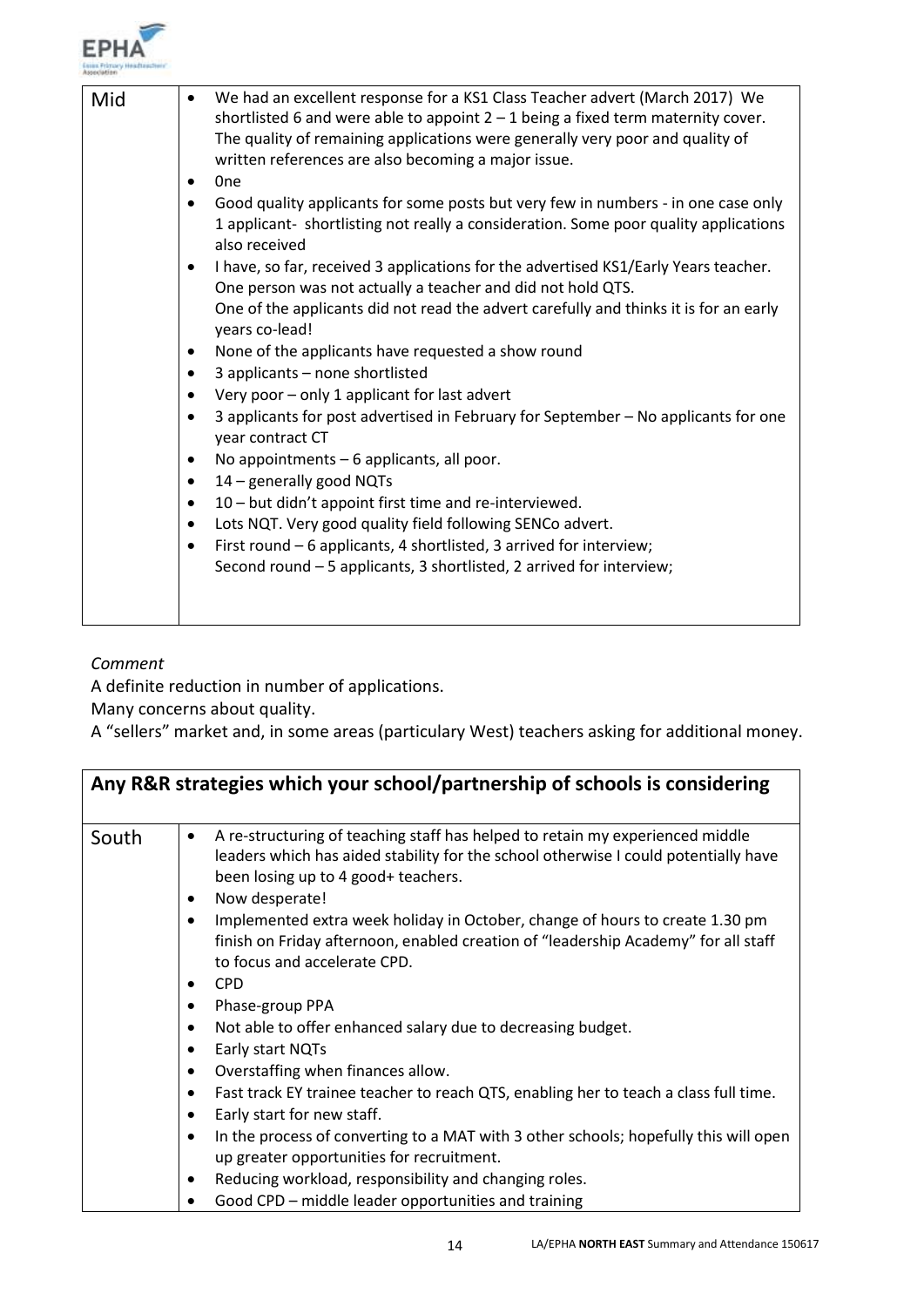

| Mid | We had an excellent response for a KS1 Class Teacher advert (March 2017) We<br>$\bullet$<br>shortlisted 6 and were able to appoint $2 - 1$ being a fixed term maternity cover.<br>The quality of remaining applications were generally very poor and quality of<br>written references are also becoming a major issue.<br>0 <sub>ne</sub><br>$\bullet$<br>Good quality applicants for some posts but very few in numbers - in one case only<br>$\bullet$<br>1 applicant- shortlisting not really a consideration. Some poor quality applications<br>also received<br>I have, so far, received 3 applications for the advertised KS1/Early Years teacher.<br>$\bullet$<br>One person was not actually a teacher and did not hold QTS.<br>One of the applicants did not read the advert carefully and thinks it is for an early<br>years co-lead!<br>None of the applicants have requested a show round<br>٠<br>3 applicants - none shortlisted<br>$\bullet$<br>Very poor - only 1 applicant for last advert<br>$\bullet$<br>3 applicants for post advertised in February for September - No applicants for one<br>$\bullet$<br>year contract CT<br>No appointments - 6 applicants, all poor.<br>٠<br>14 - generally good NQTs<br>$\bullet$<br>10 – but didn't appoint first time and re-interviewed.<br>$\bullet$<br>Lots NQT. Very good quality field following SENCo advert.<br>$\bullet$ |
|-----|--------------------------------------------------------------------------------------------------------------------------------------------------------------------------------------------------------------------------------------------------------------------------------------------------------------------------------------------------------------------------------------------------------------------------------------------------------------------------------------------------------------------------------------------------------------------------------------------------------------------------------------------------------------------------------------------------------------------------------------------------------------------------------------------------------------------------------------------------------------------------------------------------------------------------------------------------------------------------------------------------------------------------------------------------------------------------------------------------------------------------------------------------------------------------------------------------------------------------------------------------------------------------------------------------------------------------------------------------------------------------------------------|
|     | First round - 6 applicants, 4 shortlisted, 3 arrived for interview;<br>$\bullet$<br>Second round - 5 applicants, 3 shortlisted, 2 arrived for interview;                                                                                                                                                                                                                                                                                                                                                                                                                                                                                                                                                                                                                                                                                                                                                                                                                                                                                                                                                                                                                                                                                                                                                                                                                                   |
|     |                                                                                                                                                                                                                                                                                                                                                                                                                                                                                                                                                                                                                                                                                                                                                                                                                                                                                                                                                                                                                                                                                                                                                                                                                                                                                                                                                                                            |

A definite reduction in number of applications.

Many concerns about quality.

A "sellers" market and, in some areas (particulary West) teachers asking for additional money.

|       | Any R&R strategies which your school/partnership of schools is considering                                                                                                                                                         |
|-------|------------------------------------------------------------------------------------------------------------------------------------------------------------------------------------------------------------------------------------|
| South | A re-structuring of teaching staff has helped to retain my experienced middle<br>٠<br>leaders which has aided stability for the school otherwise I could potentially have<br>been losing up to 4 good+ teachers.<br>Now desperate! |
|       | Implemented extra week holiday in October, change of hours to create 1.30 pm<br>$\bullet$<br>finish on Friday afternoon, enabled creation of "leadership Academy" for all staff<br>to focus and accelerate CPD.<br><b>CPD</b><br>٠ |
|       | Phase-group PPA                                                                                                                                                                                                                    |
|       | Not able to offer enhanced salary due to decreasing budget.<br>٠                                                                                                                                                                   |
|       | Early start NQTs<br>٠                                                                                                                                                                                                              |
|       | Overstaffing when finances allow.<br>٠                                                                                                                                                                                             |
|       | Fast track EY trainee teacher to reach QTS, enabling her to teach a class full time.<br>٠                                                                                                                                          |
|       | Early start for new staff.<br>٠                                                                                                                                                                                                    |
|       | In the process of converting to a MAT with 3 other schools; hopefully this will open<br>up greater opportunities for recruitment.                                                                                                  |
|       | Reducing workload, responsibility and changing roles.<br>٠                                                                                                                                                                         |
|       | Good CPD – middle leader opportunities and training                                                                                                                                                                                |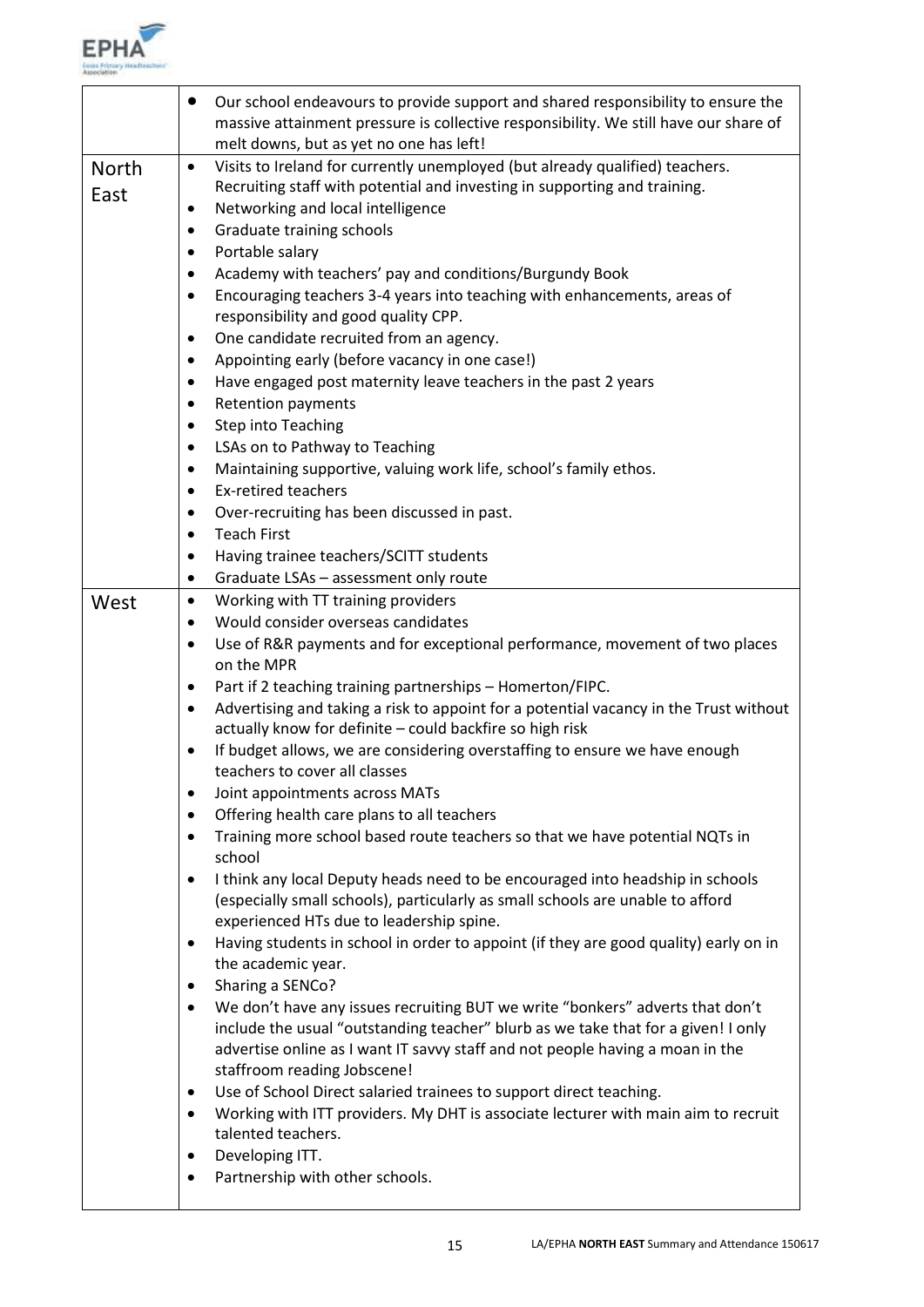

|                      | Our school endeavours to provide support and shared responsibility to ensure the<br>$\bullet$<br>massive attainment pressure is collective responsibility. We still have our share of<br>melt downs, but as yet no one has left!                                                                                                                                                                                                                                                                                                                                                                                                                                                                                                                                                                                                                                                                                                                                                                                                                                                                                                                                                                                                                                                                                                                                                                                                                                                                                                                                                                                                                                                                         |
|----------------------|----------------------------------------------------------------------------------------------------------------------------------------------------------------------------------------------------------------------------------------------------------------------------------------------------------------------------------------------------------------------------------------------------------------------------------------------------------------------------------------------------------------------------------------------------------------------------------------------------------------------------------------------------------------------------------------------------------------------------------------------------------------------------------------------------------------------------------------------------------------------------------------------------------------------------------------------------------------------------------------------------------------------------------------------------------------------------------------------------------------------------------------------------------------------------------------------------------------------------------------------------------------------------------------------------------------------------------------------------------------------------------------------------------------------------------------------------------------------------------------------------------------------------------------------------------------------------------------------------------------------------------------------------------------------------------------------------------|
| <b>North</b><br>East | Visits to Ireland for currently unemployed (but already qualified) teachers.<br>$\bullet$<br>Recruiting staff with potential and investing in supporting and training.<br>Networking and local intelligence<br>$\bullet$<br>Graduate training schools<br>$\bullet$<br>Portable salary<br>$\bullet$<br>Academy with teachers' pay and conditions/Burgundy Book<br>٠<br>Encouraging teachers 3-4 years into teaching with enhancements, areas of<br>$\bullet$<br>responsibility and good quality CPP.<br>One candidate recruited from an agency.<br>٠<br>Appointing early (before vacancy in one case!)<br>$\bullet$<br>Have engaged post maternity leave teachers in the past 2 years<br>٠<br><b>Retention payments</b><br>$\bullet$<br><b>Step into Teaching</b><br>٠                                                                                                                                                                                                                                                                                                                                                                                                                                                                                                                                                                                                                                                                                                                                                                                                                                                                                                                                    |
|                      | LSAs on to Pathway to Teaching<br>$\bullet$<br>Maintaining supportive, valuing work life, school's family ethos.<br>$\bullet$<br><b>Ex-retired teachers</b><br>٠<br>Over-recruiting has been discussed in past.<br>٠<br><b>Teach First</b><br>$\bullet$<br>Having trainee teachers/SCITT students<br>٠                                                                                                                                                                                                                                                                                                                                                                                                                                                                                                                                                                                                                                                                                                                                                                                                                                                                                                                                                                                                                                                                                                                                                                                                                                                                                                                                                                                                   |
| West                 | Graduate LSAs - assessment only route<br>$\bullet$<br>Working with TT training providers<br>$\bullet$<br>Would consider overseas candidates<br>$\bullet$<br>Use of R&R payments and for exceptional performance, movement of two places<br>$\bullet$<br>on the MPR<br>Part if 2 teaching training partnerships - Homerton/FIPC.<br>٠<br>Advertising and taking a risk to appoint for a potential vacancy in the Trust without<br>$\bullet$<br>actually know for definite - could backfire so high risk<br>If budget allows, we are considering overstaffing to ensure we have enough<br>٠<br>teachers to cover all classes<br>Joint appointments across MATs<br>٠<br>Offering health care plans to all teachers<br>$\bullet$<br>Training more school based route teachers so that we have potential NQTs in<br>$\bullet$<br>school<br>I think any local Deputy heads need to be encouraged into headship in schools<br>٠<br>(especially small schools), particularly as small schools are unable to afford<br>experienced HTs due to leadership spine.<br>Having students in school in order to appoint (if they are good quality) early on in<br>٠<br>the academic year.<br>Sharing a SENCo?<br>٠<br>We don't have any issues recruiting BUT we write "bonkers" adverts that don't<br>$\bullet$<br>include the usual "outstanding teacher" blurb as we take that for a given! I only<br>advertise online as I want IT savvy staff and not people having a moan in the<br>staffroom reading Jobscene!<br>Use of School Direct salaried trainees to support direct teaching.<br>٠<br>Working with ITT providers. My DHT is associate lecturer with main aim to recruit<br>$\bullet$<br>talented teachers. |
|                      | Developing ITT.<br>٠<br>Partnership with other schools.                                                                                                                                                                                                                                                                                                                                                                                                                                                                                                                                                                                                                                                                                                                                                                                                                                                                                                                                                                                                                                                                                                                                                                                                                                                                                                                                                                                                                                                                                                                                                                                                                                                  |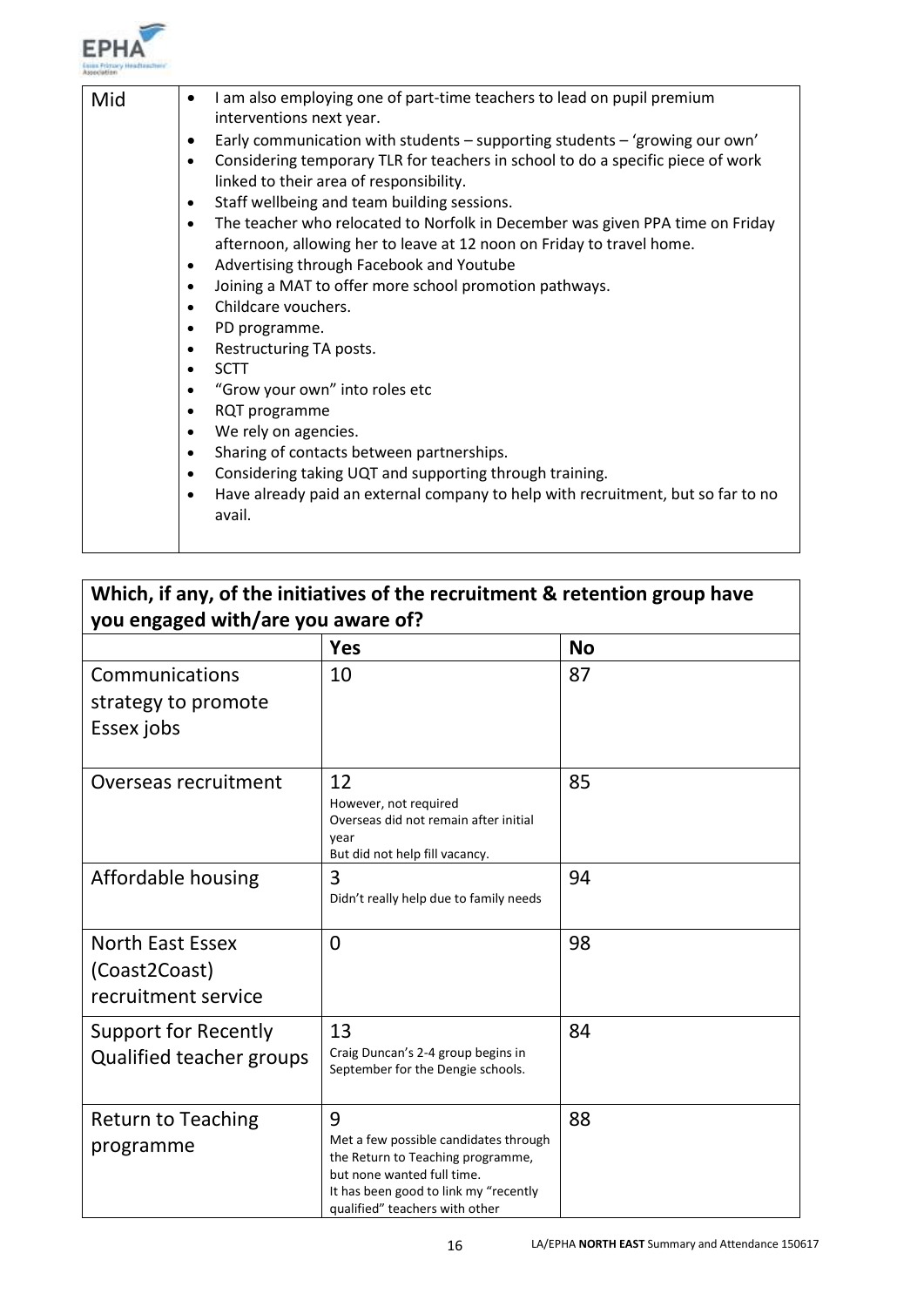

| I am also employing one of part-time teachers to lead on pupil premium<br>Mid<br>$\bullet$<br>interventions next year.<br>Early communication with students - supporting students - 'growing our own'<br>٠<br>Considering temporary TLR for teachers in school to do a specific piece of work<br>$\bullet$<br>linked to their area of responsibility.<br>Staff wellbeing and team building sessions.<br>$\bullet$<br>$\bullet$<br>afternoon, allowing her to leave at 12 noon on Friday to travel home.<br>Advertising through Facebook and Youtube<br>$\bullet$<br>Joining a MAT to offer more school promotion pathways.<br>$\bullet$<br>Childcare vouchers.<br>$\bullet$<br>PD programme.<br>٠<br>Restructuring TA posts.<br>٠<br><b>SCTT</b><br>$\bullet$ |                                                                                                                                                                   |
|---------------------------------------------------------------------------------------------------------------------------------------------------------------------------------------------------------------------------------------------------------------------------------------------------------------------------------------------------------------------------------------------------------------------------------------------------------------------------------------------------------------------------------------------------------------------------------------------------------------------------------------------------------------------------------------------------------------------------------------------------------------|-------------------------------------------------------------------------------------------------------------------------------------------------------------------|
| "Grow your own" into roles etc<br>$\bullet$<br>RQT programme<br>٠<br>We rely on agencies.<br>$\bullet$<br>Sharing of contacts between partnerships.<br>$\bullet$<br>Considering taking UQT and supporting through training.<br>$\bullet$<br>$\bullet$<br>avail.                                                                                                                                                                                                                                                                                                                                                                                                                                                                                               | The teacher who relocated to Norfolk in December was given PPA time on Friday<br>Have already paid an external company to help with recruitment, but so far to no |

|                                                                 | Which, if any, of the initiatives of the recruitment & retention group have                                                                                                              |           |
|-----------------------------------------------------------------|------------------------------------------------------------------------------------------------------------------------------------------------------------------------------------------|-----------|
| you engaged with/are you aware of?                              |                                                                                                                                                                                          |           |
|                                                                 | <b>Yes</b>                                                                                                                                                                               | <b>No</b> |
| Communications<br>strategy to promote<br>Essex jobs             | 10                                                                                                                                                                                       | 87        |
| Overseas recruitment                                            | 12<br>However, not required<br>Overseas did not remain after initial<br>year<br>But did not help fill vacancy.                                                                           | 85        |
| Affordable housing                                              | 3<br>Didn't really help due to family needs                                                                                                                                              | 94        |
| <b>North East Essex</b><br>(Coast2Coast)<br>recruitment service | $\overline{0}$                                                                                                                                                                           | 98        |
| Support for Recently<br>Qualified teacher groups                | 13<br>Craig Duncan's 2-4 group begins in<br>September for the Dengie schools.                                                                                                            | 84        |
| <b>Return to Teaching</b><br>programme                          | 9<br>Met a few possible candidates through<br>the Return to Teaching programme,<br>but none wanted full time.<br>It has been good to link my "recently<br>qualified" teachers with other | 88        |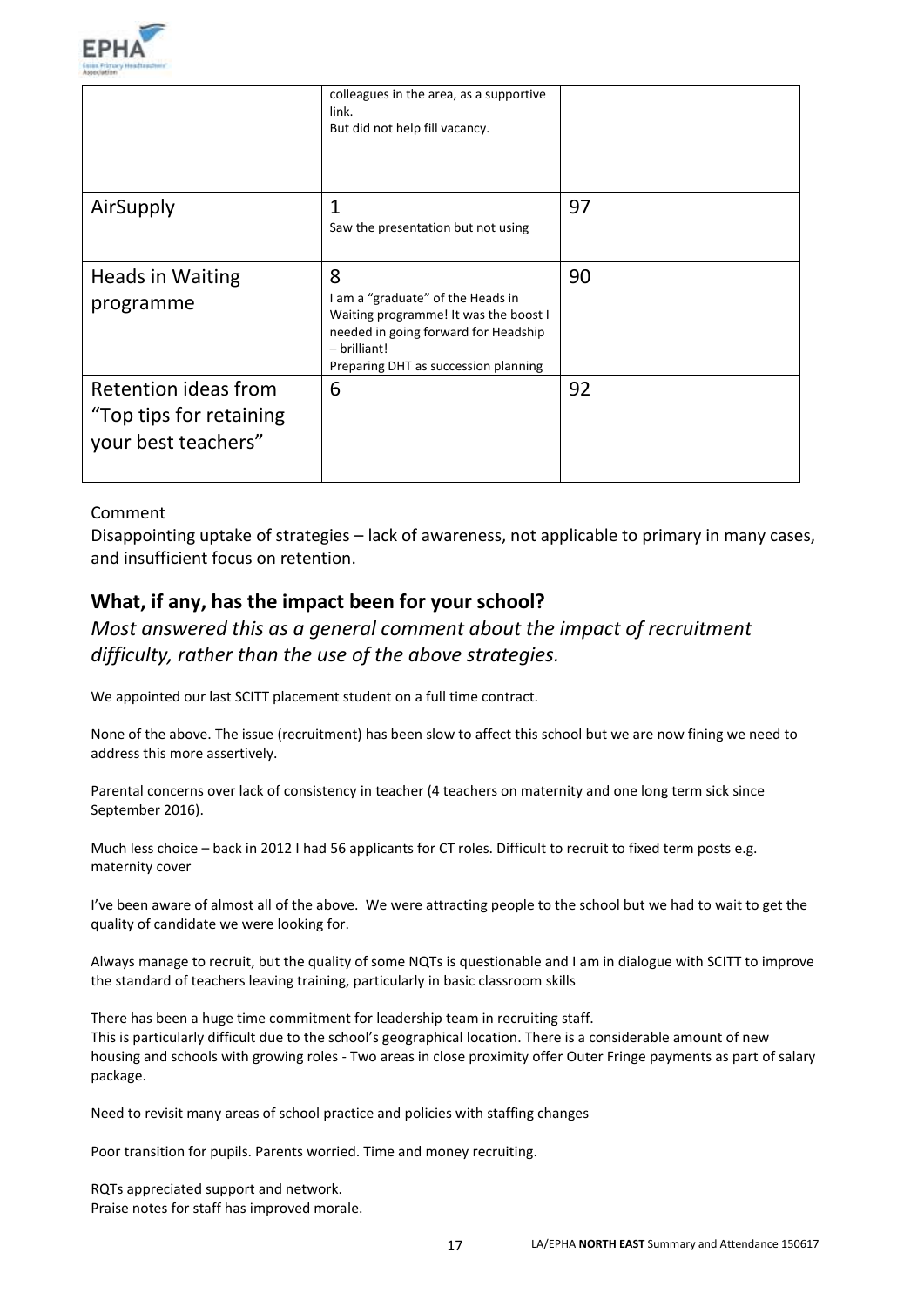

|                                                                        | colleagues in the area, as a supportive<br>link.<br>But did not help fill vacancy.                                                                                                |    |
|------------------------------------------------------------------------|-----------------------------------------------------------------------------------------------------------------------------------------------------------------------------------|----|
| AirSupply                                                              | 1<br>Saw the presentation but not using                                                                                                                                           | 97 |
|                                                                        |                                                                                                                                                                                   |    |
| <b>Heads in Waiting</b><br>programme                                   | 8<br>I am a "graduate" of the Heads in<br>Waiting programme! It was the boost I<br>needed in going forward for Headship<br>$-$ brilliant!<br>Preparing DHT as succession planning | 90 |
| Retention ideas from<br>"Top tips for retaining<br>your best teachers" | 6                                                                                                                                                                                 | 92 |

Disappointing uptake of strategies – lack of awareness, not applicable to primary in many cases, and insufficient focus on retention.

# **What, if any, has the impact been for your school?**

# *Most answered this as a general comment about the impact of recruitment difficulty, rather than the use of the above strategies.*

We appointed our last SCITT placement student on a full time contract.

None of the above. The issue (recruitment) has been slow to affect this school but we are now fining we need to address this more assertively.

Parental concerns over lack of consistency in teacher (4 teachers on maternity and one long term sick since September 2016).

Much less choice – back in 2012 I had 56 applicants for CT roles. Difficult to recruit to fixed term posts e.g. maternity cover

I've been aware of almost all of the above. We were attracting people to the school but we had to wait to get the quality of candidate we were looking for.

Always manage to recruit, but the quality of some NQTs is questionable and I am in dialogue with SCITT to improve the standard of teachers leaving training, particularly in basic classroom skills

There has been a huge time commitment for leadership team in recruiting staff. This is particularly difficult due to the school's geographical location. There is a considerable amount of new housing and schools with growing roles - Two areas in close proximity offer Outer Fringe payments as part of salary package.

Need to revisit many areas of school practice and policies with staffing changes

Poor transition for pupils. Parents worried. Time and money recruiting.

RQTs appreciated support and network. Praise notes for staff has improved morale.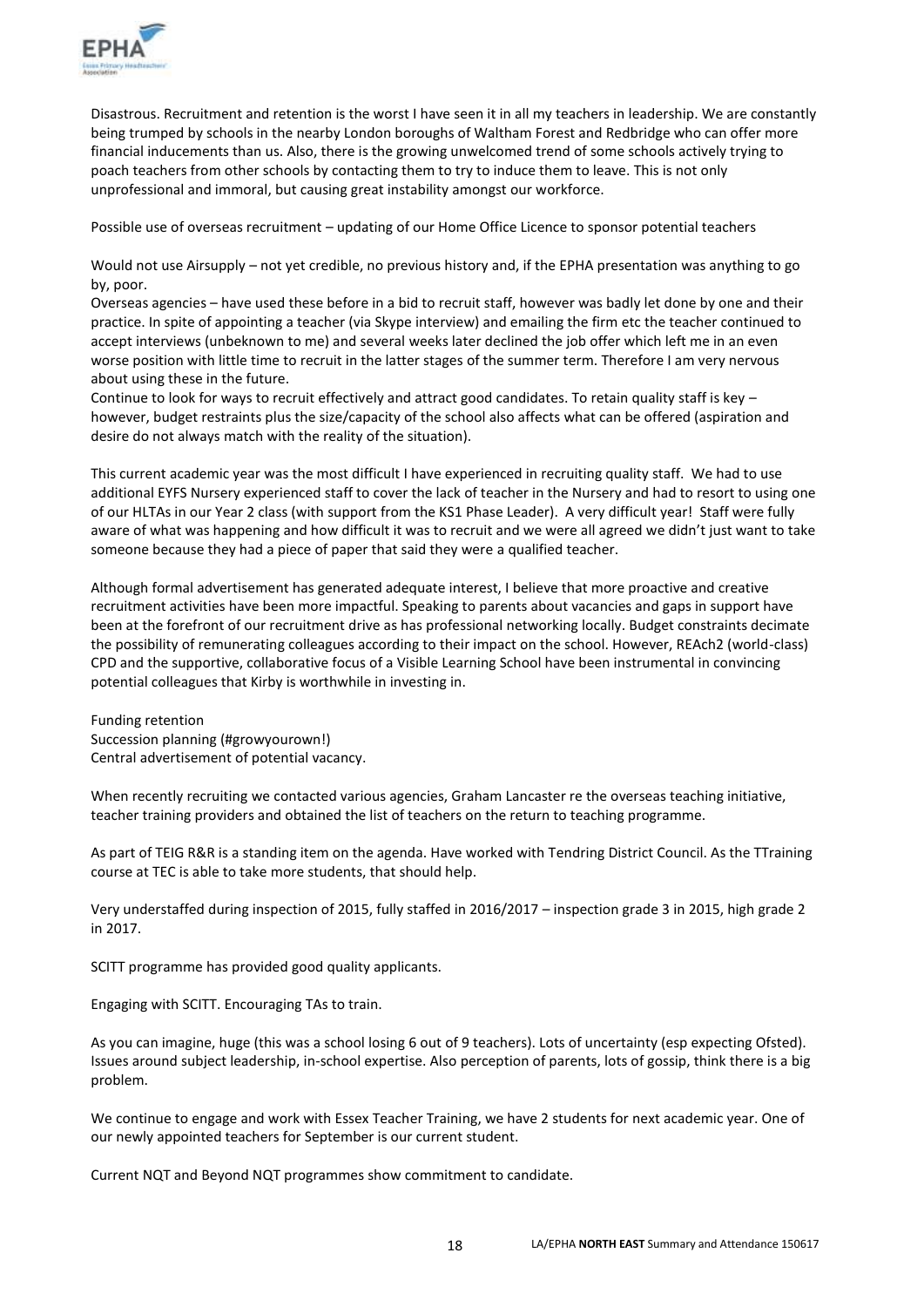

Disastrous. Recruitment and retention is the worst I have seen it in all my teachers in leadership. We are constantly being trumped by schools in the nearby London boroughs of Waltham Forest and Redbridge who can offer more financial inducements than us. Also, there is the growing unwelcomed trend of some schools actively trying to poach teachers from other schools by contacting them to try to induce them to leave. This is not only unprofessional and immoral, but causing great instability amongst our workforce.

Possible use of overseas recruitment – updating of our Home Office Licence to sponsor potential teachers

Would not use Airsupply – not yet credible, no previous history and, if the EPHA presentation was anything to go by, poor.

Overseas agencies – have used these before in a bid to recruit staff, however was badly let done by one and their practice. In spite of appointing a teacher (via Skype interview) and emailing the firm etc the teacher continued to accept interviews (unbeknown to me) and several weeks later declined the job offer which left me in an even worse position with little time to recruit in the latter stages of the summer term. Therefore I am very nervous about using these in the future.

Continue to look for ways to recruit effectively and attract good candidates. To retain quality staff is key – however, budget restraints plus the size/capacity of the school also affects what can be offered (aspiration and desire do not always match with the reality of the situation).

This current academic year was the most difficult I have experienced in recruiting quality staff. We had to use additional EYFS Nursery experienced staff to cover the lack of teacher in the Nursery and had to resort to using one of our HLTAs in our Year 2 class (with support from the KS1 Phase Leader). A very difficult year! Staff were fully aware of what was happening and how difficult it was to recruit and we were all agreed we didn't just want to take someone because they had a piece of paper that said they were a qualified teacher.

Although formal advertisement has generated adequate interest, I believe that more proactive and creative recruitment activities have been more impactful. Speaking to parents about vacancies and gaps in support have been at the forefront of our recruitment drive as has professional networking locally. Budget constraints decimate the possibility of remunerating colleagues according to their impact on the school. However, REAch2 (world-class) CPD and the supportive, collaborative focus of a Visible Learning School have been instrumental in convincing potential colleagues that Kirby is worthwhile in investing in.

Funding retention Succession planning (#growyourown!) Central advertisement of potential vacancy.

When recently recruiting we contacted various agencies, Graham Lancaster re the overseas teaching initiative, teacher training providers and obtained the list of teachers on the return to teaching programme.

As part of TEIG R&R is a standing item on the agenda. Have worked with Tendring District Council. As the TTraining course at TEC is able to take more students, that should help.

Very understaffed during inspection of 2015, fully staffed in 2016/2017 – inspection grade 3 in 2015, high grade 2 in 2017.

SCITT programme has provided good quality applicants.

Engaging with SCITT. Encouraging TAs to train.

As you can imagine, huge (this was a school losing 6 out of 9 teachers). Lots of uncertainty (esp expecting Ofsted). Issues around subject leadership, in-school expertise. Also perception of parents, lots of gossip, think there is a big problem.

We continue to engage and work with Essex Teacher Training, we have 2 students for next academic year. One of our newly appointed teachers for September is our current student.

Current NQT and Beyond NQT programmes show commitment to candidate.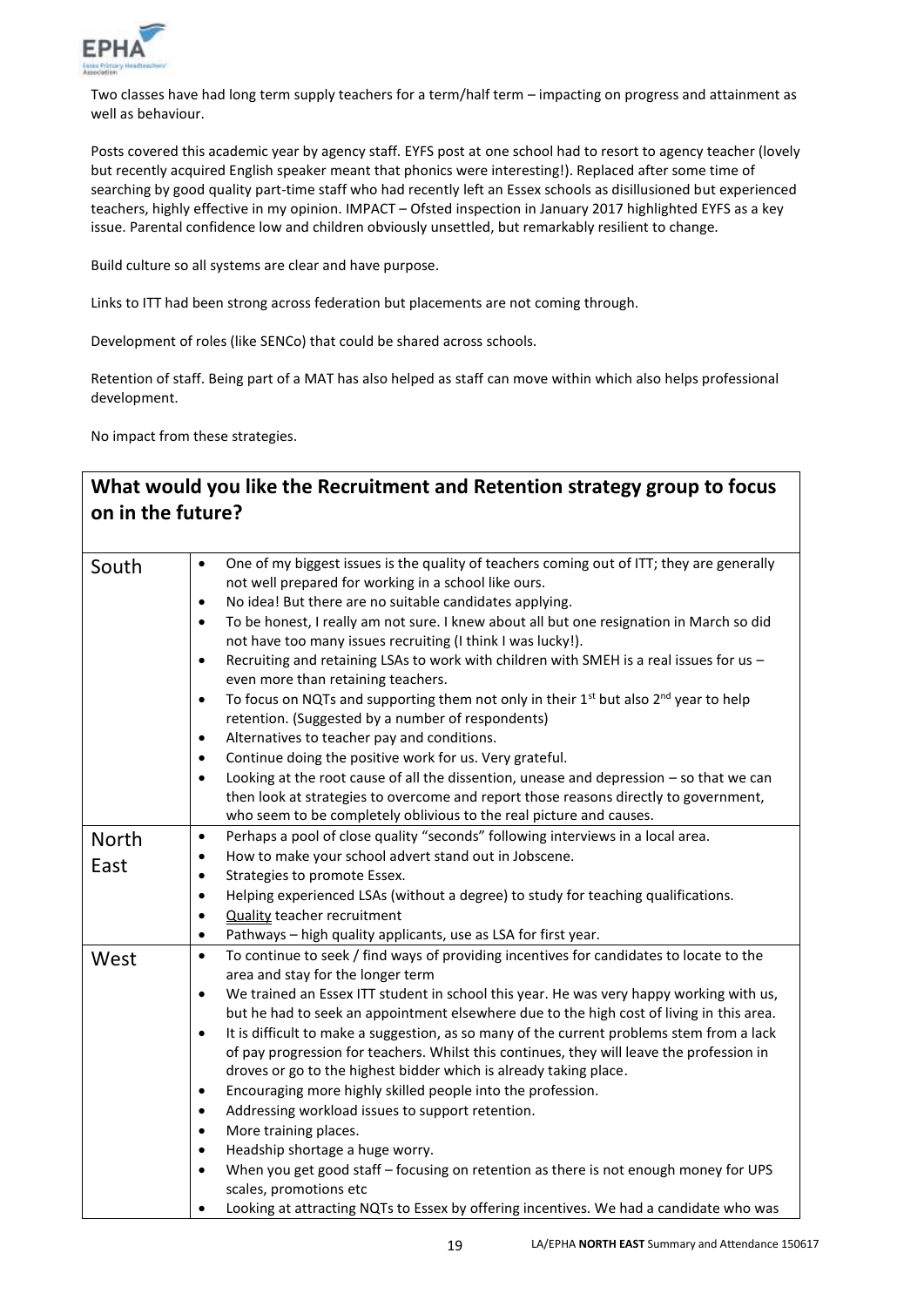

Two classes have had long term supply teachers for a term/half term – impacting on progress and attainment as well as behaviour.

Posts covered this academic year by agency staff. EYFS post at one school had to resort to agency teacher (lovely but recently acquired English speaker meant that phonics were interesting!). Replaced after some time of searching by good quality part-time staff who had recently left an Essex schools as disillusioned but experienced teachers, highly effective in my opinion. IMPACT – Ofsted inspection in January 2017 highlighted EYFS as a key issue. Parental confidence low and children obviously unsettled, but remarkably resilient to change.

Build culture so all systems are clear and have purpose.

Links to ITT had been strong across federation but placements are not coming through.

Development of roles (like SENCo) that could be shared across schools.

Retention of staff. Being part of a MAT has also helped as staff can move within which also helps professional development.

No impact from these strategies.

| on in the future? | What would you like the Recruitment and Retention strategy group to focus                                                                                                                                                                                                                                                                                                                                                                                                                                                                                                                                                                                                                                                                                                                                                                                                                                                                                                                                                                                                                                                             |
|-------------------|---------------------------------------------------------------------------------------------------------------------------------------------------------------------------------------------------------------------------------------------------------------------------------------------------------------------------------------------------------------------------------------------------------------------------------------------------------------------------------------------------------------------------------------------------------------------------------------------------------------------------------------------------------------------------------------------------------------------------------------------------------------------------------------------------------------------------------------------------------------------------------------------------------------------------------------------------------------------------------------------------------------------------------------------------------------------------------------------------------------------------------------|
| South             | One of my biggest issues is the quality of teachers coming out of ITT; they are generally<br>$\bullet$<br>not well prepared for working in a school like ours.<br>No idea! But there are no suitable candidates applying.<br>$\bullet$<br>To be honest, I really am not sure. I knew about all but one resignation in March so did<br>$\bullet$<br>not have too many issues recruiting (I think I was lucky!).<br>Recruiting and retaining LSAs to work with children with SMEH is a real issues for us -<br>$\bullet$<br>even more than retaining teachers.<br>To focus on NQTs and supporting them not only in their $1st$ but also $2nd$ year to help<br>$\bullet$<br>retention. (Suggested by a number of respondents)<br>Alternatives to teacher pay and conditions.<br>$\bullet$<br>Continue doing the positive work for us. Very grateful.<br>$\bullet$<br>Looking at the root cause of all the dissention, unease and depression - so that we can<br>$\bullet$<br>then look at strategies to overcome and report those reasons directly to government,<br>who seem to be completely oblivious to the real picture and causes. |
| North<br>East     | Perhaps a pool of close quality "seconds" following interviews in a local area.<br>$\bullet$<br>How to make your school advert stand out in Jobscene.<br>$\bullet$<br>Strategies to promote Essex.<br>$\bullet$<br>Helping experienced LSAs (without a degree) to study for teaching qualifications.<br>$\bullet$<br><b>Quality teacher recruitment</b><br>$\bullet$<br>Pathways - high quality applicants, use as LSA for first year.<br>$\bullet$                                                                                                                                                                                                                                                                                                                                                                                                                                                                                                                                                                                                                                                                                   |
| West              | To continue to seek / find ways of providing incentives for candidates to locate to the<br>$\bullet$<br>area and stay for the longer term<br>We trained an Essex ITT student in school this year. He was very happy working with us,<br>$\bullet$<br>but he had to seek an appointment elsewhere due to the high cost of living in this area.<br>It is difficult to make a suggestion, as so many of the current problems stem from a lack<br>$\bullet$<br>of pay progression for teachers. Whilst this continues, they will leave the profession in<br>droves or go to the highest bidder which is already taking place.<br>Encouraging more highly skilled people into the profession.<br>$\bullet$<br>Addressing workload issues to support retention.<br>$\bullet$<br>More training places.<br>$\bullet$<br>Headship shortage a huge worry.<br>$\bullet$<br>When you get good staff - focusing on retention as there is not enough money for UPS<br>$\bullet$<br>scales, promotions etc<br>Looking at attracting NQTs to Essex by offering incentives. We had a candidate who was<br>$\bullet$                                    |